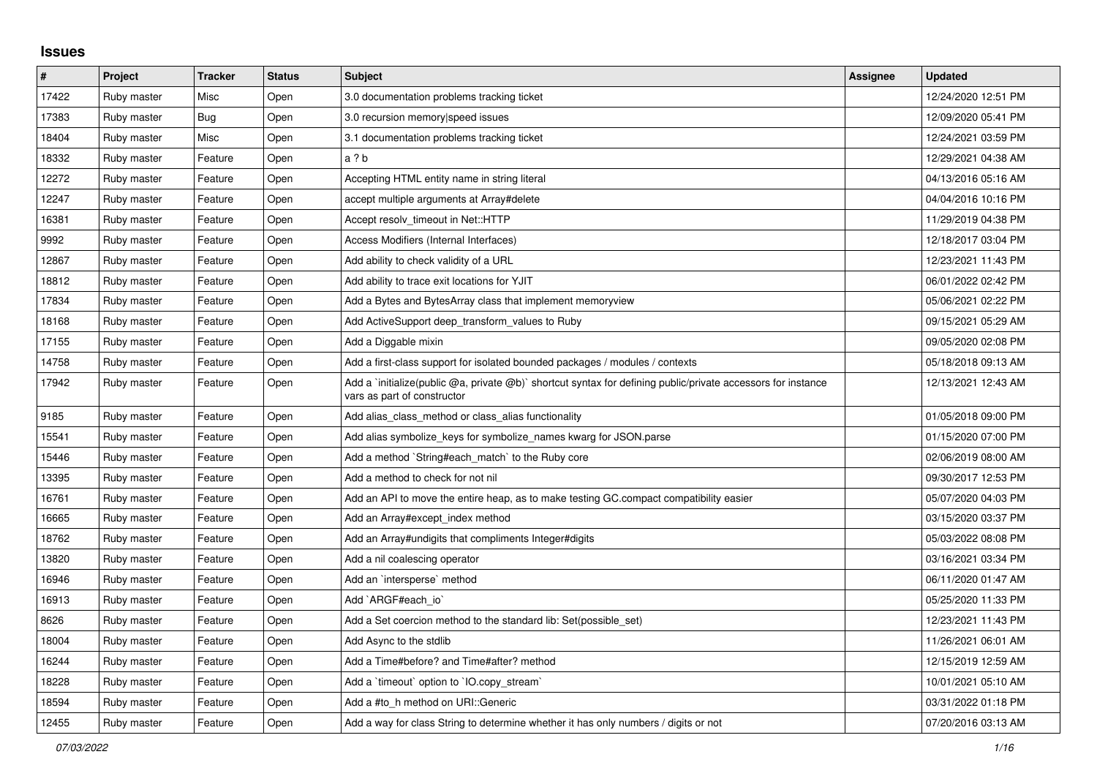## **Issues**

| $\#$  | Project     | <b>Tracker</b> | <b>Status</b> | <b>Subject</b>                                                                                                                              | <b>Assignee</b> | <b>Updated</b>      |
|-------|-------------|----------------|---------------|---------------------------------------------------------------------------------------------------------------------------------------------|-----------------|---------------------|
| 17422 | Ruby master | Misc           | Open          | 3.0 documentation problems tracking ticket                                                                                                  |                 | 12/24/2020 12:51 PM |
| 17383 | Ruby master | Bug            | Open          | 3.0 recursion memory speed issues                                                                                                           |                 | 12/09/2020 05:41 PM |
| 18404 | Ruby master | Misc           | Open          | 3.1 documentation problems tracking ticket                                                                                                  |                 | 12/24/2021 03:59 PM |
| 18332 | Ruby master | Feature        | Open          | a ? b                                                                                                                                       |                 | 12/29/2021 04:38 AM |
| 12272 | Ruby master | Feature        | Open          | Accepting HTML entity name in string literal                                                                                                |                 | 04/13/2016 05:16 AM |
| 12247 | Ruby master | Feature        | Open          | accept multiple arguments at Array#delete                                                                                                   |                 | 04/04/2016 10:16 PM |
| 16381 | Ruby master | Feature        | Open          | Accept resolv timeout in Net::HTTP                                                                                                          |                 | 11/29/2019 04:38 PM |
| 9992  | Ruby master | Feature        | Open          | Access Modifiers (Internal Interfaces)                                                                                                      |                 | 12/18/2017 03:04 PM |
| 12867 | Ruby master | Feature        | Open          | Add ability to check validity of a URL                                                                                                      |                 | 12/23/2021 11:43 PM |
| 18812 | Ruby master | Feature        | Open          | Add ability to trace exit locations for YJIT                                                                                                |                 | 06/01/2022 02:42 PM |
| 17834 | Ruby master | Feature        | Open          | Add a Bytes and BytesArray class that implement memoryview                                                                                  |                 | 05/06/2021 02:22 PM |
| 18168 | Ruby master | Feature        | Open          | Add ActiveSupport deep_transform_values to Ruby                                                                                             |                 | 09/15/2021 05:29 AM |
| 17155 | Ruby master | Feature        | Open          | Add a Diggable mixin                                                                                                                        |                 | 09/05/2020 02:08 PM |
| 14758 | Ruby master | Feature        | Open          | Add a first-class support for isolated bounded packages / modules / contexts                                                                |                 | 05/18/2018 09:13 AM |
| 17942 | Ruby master | Feature        | Open          | Add a 'initialize(public @a, private @b)' shortcut syntax for defining public/private accessors for instance<br>vars as part of constructor |                 | 12/13/2021 12:43 AM |
| 9185  | Ruby master | Feature        | Open          | Add alias_class_method or class_alias functionality                                                                                         |                 | 01/05/2018 09:00 PM |
| 15541 | Ruby master | Feature        | Open          | Add alias symbolize_keys for symbolize_names kwarg for JSON.parse                                                                           |                 | 01/15/2020 07:00 PM |
| 15446 | Ruby master | Feature        | Open          | Add a method `String#each_match` to the Ruby core                                                                                           |                 | 02/06/2019 08:00 AM |
| 13395 | Ruby master | Feature        | Open          | Add a method to check for not nil                                                                                                           |                 | 09/30/2017 12:53 PM |
| 16761 | Ruby master | Feature        | Open          | Add an API to move the entire heap, as to make testing GC.compact compatibility easier                                                      |                 | 05/07/2020 04:03 PM |
| 16665 | Ruby master | Feature        | Open          | Add an Array#except index method                                                                                                            |                 | 03/15/2020 03:37 PM |
| 18762 | Ruby master | Feature        | Open          | Add an Array#undigits that compliments Integer#digits                                                                                       |                 | 05/03/2022 08:08 PM |
| 13820 | Ruby master | Feature        | Open          | Add a nil coalescing operator                                                                                                               |                 | 03/16/2021 03:34 PM |
| 16946 | Ruby master | Feature        | Open          | Add an `intersperse` method                                                                                                                 |                 | 06/11/2020 01:47 AM |
| 16913 | Ruby master | Feature        | Open          | Add `ARGF#each io`                                                                                                                          |                 | 05/25/2020 11:33 PM |
| 8626  | Ruby master | Feature        | Open          | Add a Set coercion method to the standard lib: Set (possible set)                                                                           |                 | 12/23/2021 11:43 PM |
| 18004 | Ruby master | Feature        | Open          | Add Async to the stdlib                                                                                                                     |                 | 11/26/2021 06:01 AM |
| 16244 | Ruby master | Feature        | Open          | Add a Time#before? and Time#after? method                                                                                                   |                 | 12/15/2019 12:59 AM |
| 18228 | Ruby master | Feature        | Open          | Add a 'timeout' option to 'IO.copy_stream'                                                                                                  |                 | 10/01/2021 05:10 AM |
| 18594 | Ruby master | Feature        | Open          | Add a #to h method on URI::Generic                                                                                                          |                 | 03/31/2022 01:18 PM |
| 12455 | Ruby master | Feature        | Open          | Add a way for class String to determine whether it has only numbers / digits or not                                                         |                 | 07/20/2016 03:13 AM |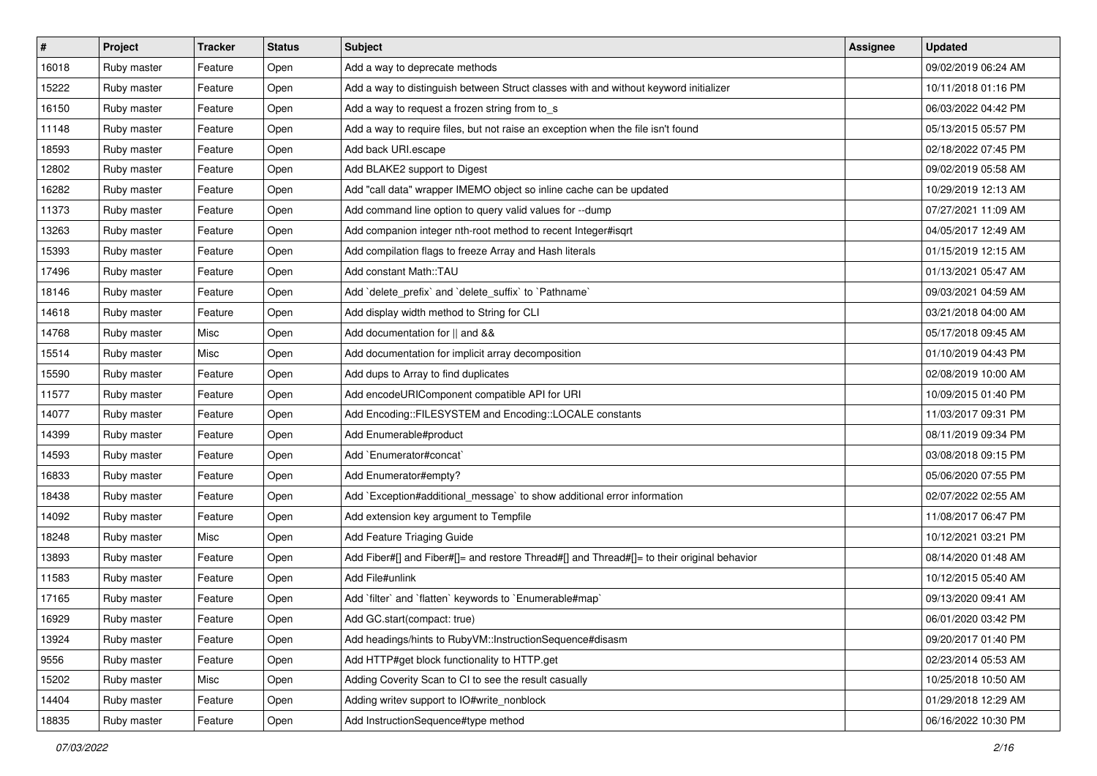| $\vert$ # | Project     | <b>Tracker</b> | <b>Status</b> | <b>Subject</b>                                                                             | <b>Assignee</b> | <b>Updated</b>      |
|-----------|-------------|----------------|---------------|--------------------------------------------------------------------------------------------|-----------------|---------------------|
| 16018     | Ruby master | Feature        | Open          | Add a way to deprecate methods                                                             |                 | 09/02/2019 06:24 AM |
| 15222     | Ruby master | Feature        | Open          | Add a way to distinguish between Struct classes with and without keyword initializer       |                 | 10/11/2018 01:16 PM |
| 16150     | Ruby master | Feature        | Open          | Add a way to request a frozen string from to_s                                             |                 | 06/03/2022 04:42 PM |
| 11148     | Ruby master | Feature        | Open          | Add a way to require files, but not raise an exception when the file isn't found           |                 | 05/13/2015 05:57 PM |
| 18593     | Ruby master | Feature        | Open          | Add back URI.escape                                                                        |                 | 02/18/2022 07:45 PM |
| 12802     | Ruby master | Feature        | Open          | Add BLAKE2 support to Digest                                                               |                 | 09/02/2019 05:58 AM |
| 16282     | Ruby master | Feature        | Open          | Add "call data" wrapper IMEMO object so inline cache can be updated                        |                 | 10/29/2019 12:13 AM |
| 11373     | Ruby master | Feature        | Open          | Add command line option to query valid values for --dump                                   |                 | 07/27/2021 11:09 AM |
| 13263     | Ruby master | Feature        | Open          | Add companion integer nth-root method to recent Integer#isqrt                              |                 | 04/05/2017 12:49 AM |
| 15393     | Ruby master | Feature        | Open          | Add compilation flags to freeze Array and Hash literals                                    |                 | 01/15/2019 12:15 AM |
| 17496     | Ruby master | Feature        | Open          | Add constant Math::TAU                                                                     |                 | 01/13/2021 05:47 AM |
| 18146     | Ruby master | Feature        | Open          | Add `delete_prefix` and `delete_suffix` to `Pathname`                                      |                 | 09/03/2021 04:59 AM |
| 14618     | Ruby master | Feature        | Open          | Add display width method to String for CLI                                                 |                 | 03/21/2018 04:00 AM |
| 14768     | Ruby master | Misc           | Open          | Add documentation for    and &&                                                            |                 | 05/17/2018 09:45 AM |
| 15514     | Ruby master | Misc           | Open          | Add documentation for implicit array decomposition                                         |                 | 01/10/2019 04:43 PM |
| 15590     | Ruby master | Feature        | Open          | Add dups to Array to find duplicates                                                       |                 | 02/08/2019 10:00 AM |
| 11577     | Ruby master | Feature        | Open          | Add encodeURIComponent compatible API for URI                                              |                 | 10/09/2015 01:40 PM |
| 14077     | Ruby master | Feature        | Open          | Add Encoding::FILESYSTEM and Encoding::LOCALE constants                                    |                 | 11/03/2017 09:31 PM |
| 14399     | Ruby master | Feature        | Open          | Add Enumerable#product                                                                     |                 | 08/11/2019 09:34 PM |
| 14593     | Ruby master | Feature        | Open          | Add `Enumerator#concat`                                                                    |                 | 03/08/2018 09:15 PM |
| 16833     | Ruby master | Feature        | Open          | Add Enumerator#empty?                                                                      |                 | 05/06/2020 07:55 PM |
| 18438     | Ruby master | Feature        | Open          | Add `Exception#additional_message` to show additional error information                    |                 | 02/07/2022 02:55 AM |
| 14092     | Ruby master | Feature        | Open          | Add extension key argument to Tempfile                                                     |                 | 11/08/2017 06:47 PM |
| 18248     | Ruby master | Misc           | Open          | Add Feature Triaging Guide                                                                 |                 | 10/12/2021 03:21 PM |
| 13893     | Ruby master | Feature        | Open          | Add Fiber#[] and Fiber#[]= and restore Thread#[] and Thread#[]= to their original behavior |                 | 08/14/2020 01:48 AM |
| 11583     | Ruby master | Feature        | Open          | Add File#unlink                                                                            |                 | 10/12/2015 05:40 AM |
| 17165     | Ruby master | Feature        | Open          | Add `filter` and `flatten` keywords to `Enumerable#map`                                    |                 | 09/13/2020 09:41 AM |
| 16929     | Ruby master | Feature        | Open          | Add GC.start(compact: true)                                                                |                 | 06/01/2020 03:42 PM |
| 13924     | Ruby master | Feature        | Open          | Add headings/hints to RubyVM::InstructionSequence#disasm                                   |                 | 09/20/2017 01:40 PM |
| 9556      | Ruby master | Feature        | Open          | Add HTTP#get block functionality to HTTP.get                                               |                 | 02/23/2014 05:53 AM |
| 15202     | Ruby master | Misc           | Open          | Adding Coverity Scan to CI to see the result casually                                      |                 | 10/25/2018 10:50 AM |
| 14404     | Ruby master | Feature        | Open          | Adding writev support to IO#write_nonblock                                                 |                 | 01/29/2018 12:29 AM |
| 18835     | Ruby master | Feature        | Open          | Add InstructionSequence#type method                                                        |                 | 06/16/2022 10:30 PM |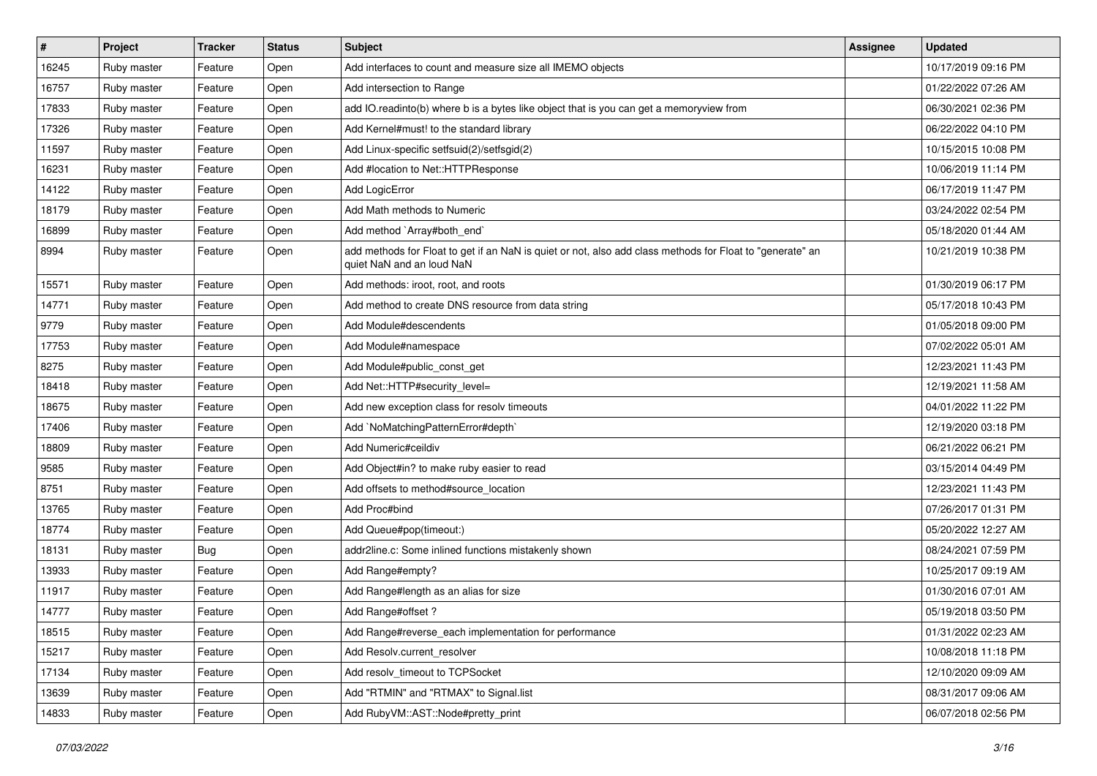| $\vert$ # | Project     | <b>Tracker</b> | <b>Status</b> | Subject                                                                                                                                | Assignee | <b>Updated</b>      |
|-----------|-------------|----------------|---------------|----------------------------------------------------------------------------------------------------------------------------------------|----------|---------------------|
| 16245     | Ruby master | Feature        | Open          | Add interfaces to count and measure size all IMEMO objects                                                                             |          | 10/17/2019 09:16 PM |
| 16757     | Ruby master | Feature        | Open          | Add intersection to Range                                                                                                              |          | 01/22/2022 07:26 AM |
| 17833     | Ruby master | Feature        | Open          | add IO.readinto(b) where b is a bytes like object that is you can get a memoryview from                                                |          | 06/30/2021 02:36 PM |
| 17326     | Ruby master | Feature        | Open          | Add Kernel#must! to the standard library                                                                                               |          | 06/22/2022 04:10 PM |
| 11597     | Ruby master | Feature        | Open          | Add Linux-specific setfsuid(2)/setfsgid(2)                                                                                             |          | 10/15/2015 10:08 PM |
| 16231     | Ruby master | Feature        | Open          | Add #location to Net::HTTPResponse                                                                                                     |          | 10/06/2019 11:14 PM |
| 14122     | Ruby master | Feature        | Open          | Add LogicError                                                                                                                         |          | 06/17/2019 11:47 PM |
| 18179     | Ruby master | Feature        | Open          | Add Math methods to Numeric                                                                                                            |          | 03/24/2022 02:54 PM |
| 16899     | Ruby master | Feature        | Open          | Add method `Array#both_end`                                                                                                            |          | 05/18/2020 01:44 AM |
| 8994      | Ruby master | Feature        | Open          | add methods for Float to get if an NaN is quiet or not, also add class methods for Float to "generate" an<br>quiet NaN and an loud NaN |          | 10/21/2019 10:38 PM |
| 15571     | Ruby master | Feature        | Open          | Add methods: iroot, root, and roots                                                                                                    |          | 01/30/2019 06:17 PM |
| 14771     | Ruby master | Feature        | Open          | Add method to create DNS resource from data string                                                                                     |          | 05/17/2018 10:43 PM |
| 9779      | Ruby master | Feature        | Open          | Add Module#descendents                                                                                                                 |          | 01/05/2018 09:00 PM |
| 17753     | Ruby master | Feature        | Open          | Add Module#namespace                                                                                                                   |          | 07/02/2022 05:01 AM |
| 8275      | Ruby master | Feature        | Open          | Add Module#public const get                                                                                                            |          | 12/23/2021 11:43 PM |
| 18418     | Ruby master | Feature        | Open          | Add Net::HTTP#security_level=                                                                                                          |          | 12/19/2021 11:58 AM |
| 18675     | Ruby master | Feature        | Open          | Add new exception class for resolv timeouts                                                                                            |          | 04/01/2022 11:22 PM |
| 17406     | Ruby master | Feature        | Open          | Add `NoMatchingPatternError#depth`                                                                                                     |          | 12/19/2020 03:18 PM |
| 18809     | Ruby master | Feature        | Open          | Add Numeric#ceildiv                                                                                                                    |          | 06/21/2022 06:21 PM |
| 9585      | Ruby master | Feature        | Open          | Add Object#in? to make ruby easier to read                                                                                             |          | 03/15/2014 04:49 PM |
| 8751      | Ruby master | Feature        | Open          | Add offsets to method#source_location                                                                                                  |          | 12/23/2021 11:43 PM |
| 13765     | Ruby master | Feature        | Open          | Add Proc#bind                                                                                                                          |          | 07/26/2017 01:31 PM |
| 18774     | Ruby master | Feature        | Open          | Add Queue#pop(timeout:)                                                                                                                |          | 05/20/2022 12:27 AM |
| 18131     | Ruby master | <b>Bug</b>     | Open          | addr2line.c: Some inlined functions mistakenly shown                                                                                   |          | 08/24/2021 07:59 PM |
| 13933     | Ruby master | Feature        | Open          | Add Range#empty?                                                                                                                       |          | 10/25/2017 09:19 AM |
| 11917     | Ruby master | Feature        | Open          | Add Range#length as an alias for size                                                                                                  |          | 01/30/2016 07:01 AM |
| 14777     | Ruby master | Feature        | Open          | Add Range#offset?                                                                                                                      |          | 05/19/2018 03:50 PM |
| 18515     | Ruby master | Feature        | Open          | Add Range#reverse_each implementation for performance                                                                                  |          | 01/31/2022 02:23 AM |
| 15217     | Ruby master | Feature        | Open          | Add Resolv.current resolver                                                                                                            |          | 10/08/2018 11:18 PM |
| 17134     | Ruby master | Feature        | Open          | Add resolv timeout to TCPSocket                                                                                                        |          | 12/10/2020 09:09 AM |
| 13639     | Ruby master | Feature        | Open          | Add "RTMIN" and "RTMAX" to Signal.list                                                                                                 |          | 08/31/2017 09:06 AM |
| 14833     | Ruby master | Feature        | Open          | Add RubyVM::AST::Node#pretty_print                                                                                                     |          | 06/07/2018 02:56 PM |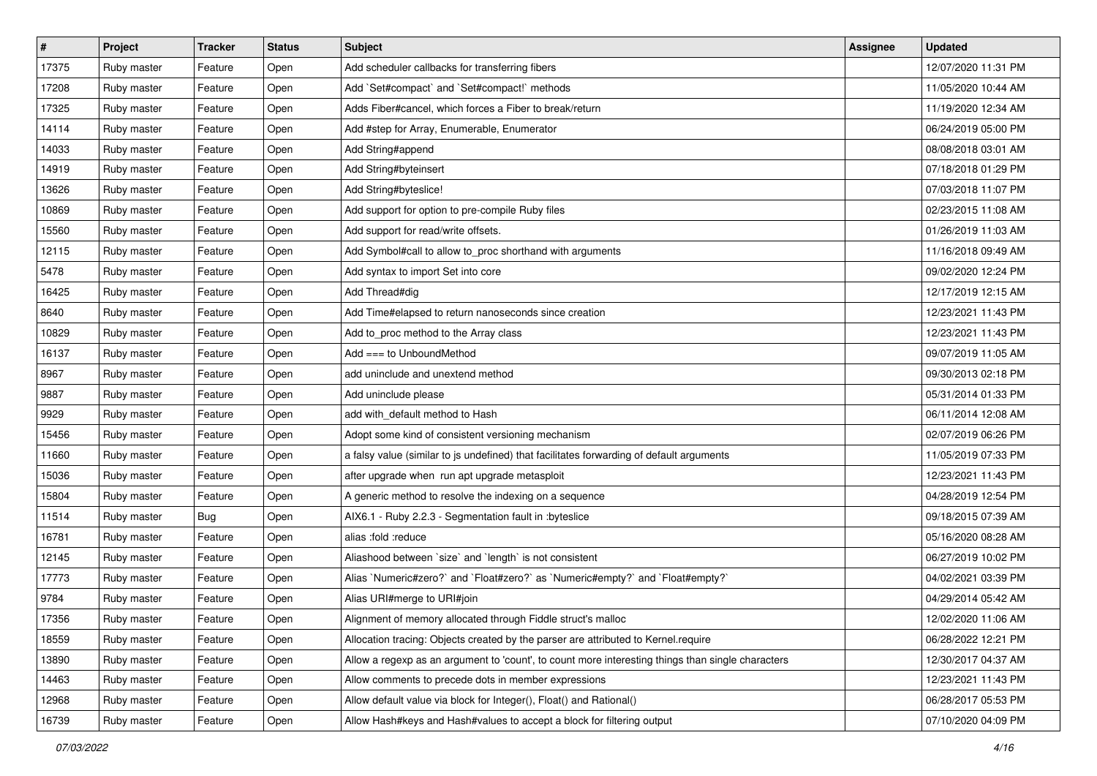| #     | Project     | <b>Tracker</b> | <b>Status</b> | <b>Subject</b>                                                                                    | <b>Assignee</b> | <b>Updated</b>      |
|-------|-------------|----------------|---------------|---------------------------------------------------------------------------------------------------|-----------------|---------------------|
| 17375 | Ruby master | Feature        | Open          | Add scheduler callbacks for transferring fibers                                                   |                 | 12/07/2020 11:31 PM |
| 17208 | Ruby master | Feature        | Open          | Add `Set#compact` and `Set#compact!` methods                                                      |                 | 11/05/2020 10:44 AM |
| 17325 | Ruby master | Feature        | Open          | Adds Fiber#cancel, which forces a Fiber to break/return                                           |                 | 11/19/2020 12:34 AM |
| 14114 | Ruby master | Feature        | Open          | Add #step for Array, Enumerable, Enumerator                                                       |                 | 06/24/2019 05:00 PM |
| 14033 | Ruby master | Feature        | Open          | Add String#append                                                                                 |                 | 08/08/2018 03:01 AM |
| 14919 | Ruby master | Feature        | Open          | Add String#byteinsert                                                                             |                 | 07/18/2018 01:29 PM |
| 13626 | Ruby master | Feature        | Open          | Add String#byteslice!                                                                             |                 | 07/03/2018 11:07 PM |
| 10869 | Ruby master | Feature        | Open          | Add support for option to pre-compile Ruby files                                                  |                 | 02/23/2015 11:08 AM |
| 15560 | Ruby master | Feature        | Open          | Add support for read/write offsets.                                                               |                 | 01/26/2019 11:03 AM |
| 12115 | Ruby master | Feature        | Open          | Add Symbol#call to allow to_proc shorthand with arguments                                         |                 | 11/16/2018 09:49 AM |
| 5478  | Ruby master | Feature        | Open          | Add syntax to import Set into core                                                                |                 | 09/02/2020 12:24 PM |
| 16425 | Ruby master | Feature        | Open          | Add Thread#dig                                                                                    |                 | 12/17/2019 12:15 AM |
| 8640  | Ruby master | Feature        | Open          | Add Time#elapsed to return nanoseconds since creation                                             |                 | 12/23/2021 11:43 PM |
| 10829 | Ruby master | Feature        | Open          | Add to_proc method to the Array class                                                             |                 | 12/23/2021 11:43 PM |
| 16137 | Ruby master | Feature        | Open          | Add === to UnboundMethod                                                                          |                 | 09/07/2019 11:05 AM |
| 8967  | Ruby master | Feature        | Open          | add uninclude and unextend method                                                                 |                 | 09/30/2013 02:18 PM |
| 9887  | Ruby master | Feature        | Open          | Add uninclude please                                                                              |                 | 05/31/2014 01:33 PM |
| 9929  | Ruby master | Feature        | Open          | add with_default method to Hash                                                                   |                 | 06/11/2014 12:08 AM |
| 15456 | Ruby master | Feature        | Open          | Adopt some kind of consistent versioning mechanism                                                |                 | 02/07/2019 06:26 PM |
| 11660 | Ruby master | Feature        | Open          | a falsy value (similar to js undefined) that facilitates forwarding of default arguments          |                 | 11/05/2019 07:33 PM |
| 15036 | Ruby master | Feature        | Open          | after upgrade when run apt upgrade metasploit                                                     |                 | 12/23/2021 11:43 PM |
| 15804 | Ruby master | Feature        | Open          | A generic method to resolve the indexing on a sequence                                            |                 | 04/28/2019 12:54 PM |
| 11514 | Ruby master | <b>Bug</b>     | Open          | AIX6.1 - Ruby 2.2.3 - Segmentation fault in : byteslice                                           |                 | 09/18/2015 07:39 AM |
| 16781 | Ruby master | Feature        | Open          | alias :fold :reduce                                                                               |                 | 05/16/2020 08:28 AM |
| 12145 | Ruby master | Feature        | Open          | Aliashood between 'size' and 'length' is not consistent                                           |                 | 06/27/2019 10:02 PM |
| 17773 | Ruby master | Feature        | Open          | Alias `Numeric#zero?` and `Float#zero?` as `Numeric#empty?` and `Float#empty?`                    |                 | 04/02/2021 03:39 PM |
| 9784  | Ruby master | Feature        | Open          | Alias URI#merge to URI#join                                                                       |                 | 04/29/2014 05:42 AM |
| 17356 | Ruby master | Feature        | Open          | Alignment of memory allocated through Fiddle struct's malloc                                      |                 | 12/02/2020 11:06 AM |
| 18559 | Ruby master | Feature        | Open          | Allocation tracing: Objects created by the parser are attributed to Kernel.require                |                 | 06/28/2022 12:21 PM |
| 13890 | Ruby master | Feature        | Open          | Allow a regexp as an argument to 'count', to count more interesting things than single characters |                 | 12/30/2017 04:37 AM |
| 14463 | Ruby master | Feature        | Open          | Allow comments to precede dots in member expressions                                              |                 | 12/23/2021 11:43 PM |
| 12968 | Ruby master | Feature        | Open          | Allow default value via block for Integer(), Float() and Rational()                               |                 | 06/28/2017 05:53 PM |
| 16739 | Ruby master | Feature        | Open          | Allow Hash#keys and Hash#values to accept a block for filtering output                            |                 | 07/10/2020 04:09 PM |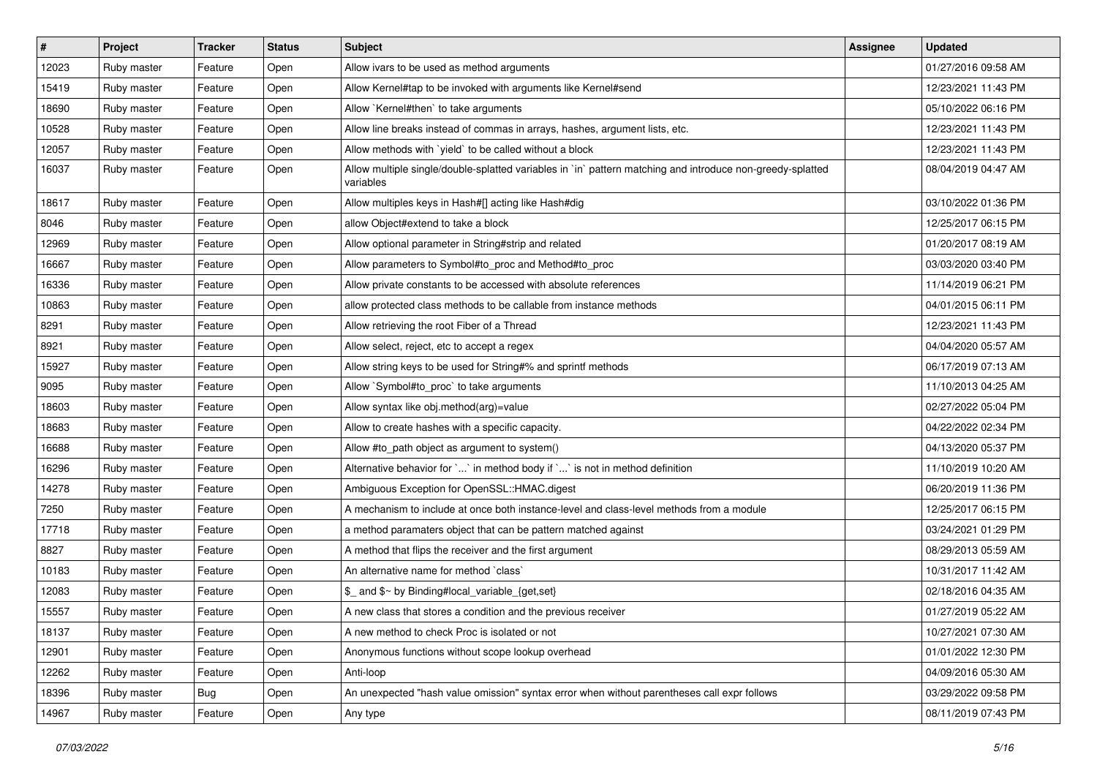| #     | Project     | <b>Tracker</b> | <b>Status</b> | <b>Subject</b>                                                                                                          | Assignee | <b>Updated</b>      |
|-------|-------------|----------------|---------------|-------------------------------------------------------------------------------------------------------------------------|----------|---------------------|
| 12023 | Ruby master | Feature        | Open          | Allow ivars to be used as method arguments                                                                              |          | 01/27/2016 09:58 AM |
| 15419 | Ruby master | Feature        | Open          | Allow Kernel#tap to be invoked with arguments like Kernel#send                                                          |          | 12/23/2021 11:43 PM |
| 18690 | Ruby master | Feature        | Open          | Allow `Kernel#then` to take arguments                                                                                   |          | 05/10/2022 06:16 PM |
| 10528 | Ruby master | Feature        | Open          | Allow line breaks instead of commas in arrays, hashes, argument lists, etc.                                             |          | 12/23/2021 11:43 PM |
| 12057 | Ruby master | Feature        | Open          | Allow methods with 'yield' to be called without a block                                                                 |          | 12/23/2021 11:43 PM |
| 16037 | Ruby master | Feature        | Open          | Allow multiple single/double-splatted variables in `in` pattern matching and introduce non-greedy-splatted<br>variables |          | 08/04/2019 04:47 AM |
| 18617 | Ruby master | Feature        | Open          | Allow multiples keys in Hash#[] acting like Hash#dig                                                                    |          | 03/10/2022 01:36 PM |
| 8046  | Ruby master | Feature        | Open          | allow Object#extend to take a block                                                                                     |          | 12/25/2017 06:15 PM |
| 12969 | Ruby master | Feature        | Open          | Allow optional parameter in String#strip and related                                                                    |          | 01/20/2017 08:19 AM |
| 16667 | Ruby master | Feature        | Open          | Allow parameters to Symbol#to_proc and Method#to_proc                                                                   |          | 03/03/2020 03:40 PM |
| 16336 | Ruby master | Feature        | Open          | Allow private constants to be accessed with absolute references                                                         |          | 11/14/2019 06:21 PM |
| 10863 | Ruby master | Feature        | Open          | allow protected class methods to be callable from instance methods                                                      |          | 04/01/2015 06:11 PM |
| 8291  | Ruby master | Feature        | Open          | Allow retrieving the root Fiber of a Thread                                                                             |          | 12/23/2021 11:43 PM |
| 8921  | Ruby master | Feature        | Open          | Allow select, reject, etc to accept a regex                                                                             |          | 04/04/2020 05:57 AM |
| 15927 | Ruby master | Feature        | Open          | Allow string keys to be used for String#% and sprintf methods                                                           |          | 06/17/2019 07:13 AM |
| 9095  | Ruby master | Feature        | Open          | Allow `Symbol#to_proc` to take arguments                                                                                |          | 11/10/2013 04:25 AM |
| 18603 | Ruby master | Feature        | Open          | Allow syntax like obj.method(arg)=value                                                                                 |          | 02/27/2022 05:04 PM |
| 18683 | Ruby master | Feature        | Open          | Allow to create hashes with a specific capacity.                                                                        |          | 04/22/2022 02:34 PM |
| 16688 | Ruby master | Feature        | Open          | Allow #to_path object as argument to system()                                                                           |          | 04/13/2020 05:37 PM |
| 16296 | Ruby master | Feature        | Open          | Alternative behavior for `` in method body if `` is not in method definition                                            |          | 11/10/2019 10:20 AM |
| 14278 | Ruby master | Feature        | Open          | Ambiguous Exception for OpenSSL::HMAC.digest                                                                            |          | 06/20/2019 11:36 PM |
| 7250  | Ruby master | Feature        | Open          | A mechanism to include at once both instance-level and class-level methods from a module                                |          | 12/25/2017 06:15 PM |
| 17718 | Ruby master | Feature        | Open          | a method paramaters object that can be pattern matched against                                                          |          | 03/24/2021 01:29 PM |
| 8827  | Ruby master | Feature        | Open          | A method that flips the receiver and the first argument                                                                 |          | 08/29/2013 05:59 AM |
| 10183 | Ruby master | Feature        | Open          | An alternative name for method `class`                                                                                  |          | 10/31/2017 11:42 AM |
| 12083 | Ruby master | Feature        | Open          | \$_ and \$~ by Binding#local_variable_{get,set}                                                                         |          | 02/18/2016 04:35 AM |
| 15557 | Ruby master | Feature        | Open          | A new class that stores a condition and the previous receiver                                                           |          | 01/27/2019 05:22 AM |
| 18137 | Ruby master | Feature        | Open          | A new method to check Proc is isolated or not                                                                           |          | 10/27/2021 07:30 AM |
| 12901 | Ruby master | Feature        | Open          | Anonymous functions without scope lookup overhead                                                                       |          | 01/01/2022 12:30 PM |
| 12262 | Ruby master | Feature        | Open          | Anti-loop                                                                                                               |          | 04/09/2016 05:30 AM |
| 18396 | Ruby master | <b>Bug</b>     | Open          | An unexpected "hash value omission" syntax error when without parentheses call expr follows                             |          | 03/29/2022 09:58 PM |
| 14967 | Ruby master | Feature        | Open          | Any type                                                                                                                |          | 08/11/2019 07:43 PM |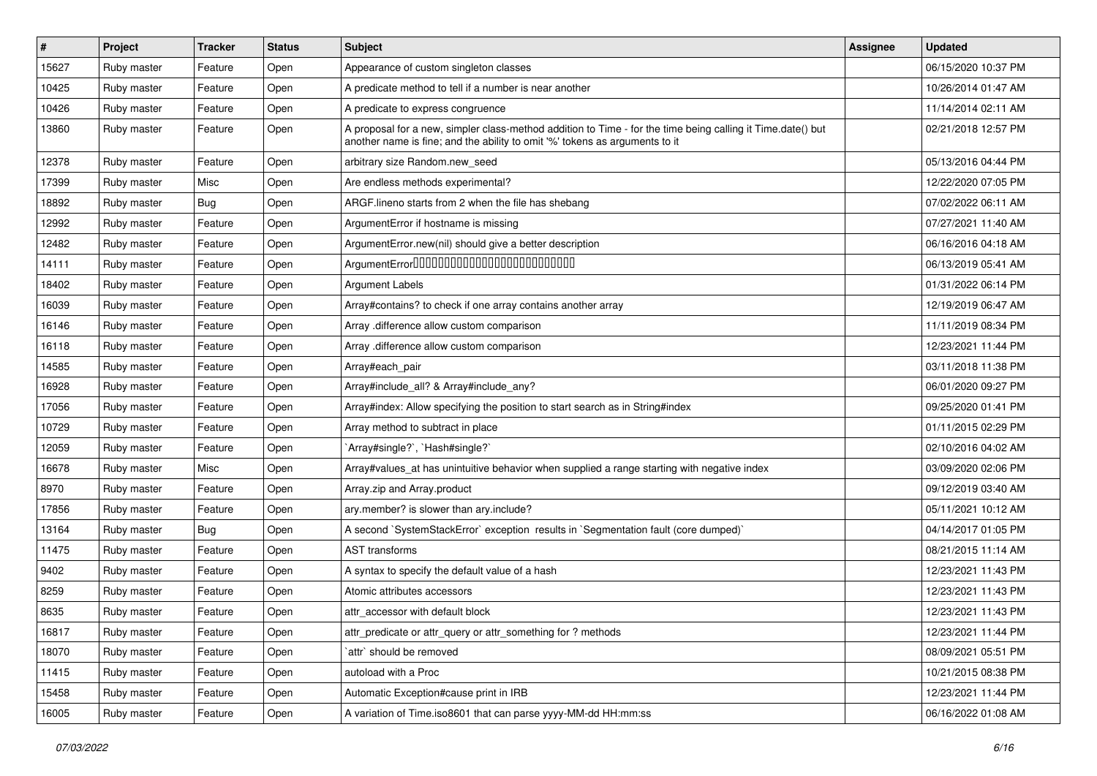| $\vert$ # | Project     | <b>Tracker</b> | <b>Status</b> | <b>Subject</b>                                                                                                                                                                             | Assignee | <b>Updated</b>      |
|-----------|-------------|----------------|---------------|--------------------------------------------------------------------------------------------------------------------------------------------------------------------------------------------|----------|---------------------|
| 15627     | Ruby master | Feature        | Open          | Appearance of custom singleton classes                                                                                                                                                     |          | 06/15/2020 10:37 PM |
| 10425     | Ruby master | Feature        | Open          | A predicate method to tell if a number is near another                                                                                                                                     |          | 10/26/2014 01:47 AM |
| 10426     | Ruby master | Feature        | Open          | A predicate to express congruence                                                                                                                                                          |          | 11/14/2014 02:11 AM |
| 13860     | Ruby master | Feature        | Open          | A proposal for a new, simpler class-method addition to Time - for the time being calling it Time.date() but<br>another name is fine; and the ability to omit '%' tokens as arguments to it |          | 02/21/2018 12:57 PM |
| 12378     | Ruby master | Feature        | Open          | arbitrary size Random.new seed                                                                                                                                                             |          | 05/13/2016 04:44 PM |
| 17399     | Ruby master | Misc           | Open          | Are endless methods experimental?                                                                                                                                                          |          | 12/22/2020 07:05 PM |
| 18892     | Ruby master | Bug            | Open          | ARGF.lineno starts from 2 when the file has shebang                                                                                                                                        |          | 07/02/2022 06:11 AM |
| 12992     | Ruby master | Feature        | Open          | ArgumentError if hostname is missing                                                                                                                                                       |          | 07/27/2021 11:40 AM |
| 12482     | Ruby master | Feature        | Open          | ArgumentError.new(nil) should give a better description                                                                                                                                    |          | 06/16/2016 04:18 AM |
| 14111     | Ruby master | Feature        | Open          | ArgumentError00000000000000000000000000                                                                                                                                                    |          | 06/13/2019 05:41 AM |
| 18402     | Ruby master | Feature        | Open          | Argument Labels                                                                                                                                                                            |          | 01/31/2022 06:14 PM |
| 16039     | Ruby master | Feature        | Open          | Array#contains? to check if one array contains another array                                                                                                                               |          | 12/19/2019 06:47 AM |
| 16146     | Ruby master | Feature        | Open          | Array .difference allow custom comparison                                                                                                                                                  |          | 11/11/2019 08:34 PM |
| 16118     | Ruby master | Feature        | Open          | Array .difference allow custom comparison                                                                                                                                                  |          | 12/23/2021 11:44 PM |
| 14585     | Ruby master | Feature        | Open          | Array#each pair                                                                                                                                                                            |          | 03/11/2018 11:38 PM |
| 16928     | Ruby master | Feature        | Open          | Array#include_all? & Array#include_any?                                                                                                                                                    |          | 06/01/2020 09:27 PM |
| 17056     | Ruby master | Feature        | Open          | Array#index: Allow specifying the position to start search as in String#index                                                                                                              |          | 09/25/2020 01:41 PM |
| 10729     | Ruby master | Feature        | Open          | Array method to subtract in place                                                                                                                                                          |          | 01/11/2015 02:29 PM |
| 12059     | Ruby master | Feature        | Open          | `Array#single?`, `Hash#single?`                                                                                                                                                            |          | 02/10/2016 04:02 AM |
| 16678     | Ruby master | Misc           | Open          | Array#values_at has unintuitive behavior when supplied a range starting with negative index                                                                                                |          | 03/09/2020 02:06 PM |
| 8970      | Ruby master | Feature        | Open          | Array.zip and Array.product                                                                                                                                                                |          | 09/12/2019 03:40 AM |
| 17856     | Ruby master | Feature        | Open          | ary.member? is slower than ary.include?                                                                                                                                                    |          | 05/11/2021 10:12 AM |
| 13164     | Ruby master | <b>Bug</b>     | Open          | A second `SystemStackError` exception results in `Segmentation fault (core dumped)`                                                                                                        |          | 04/14/2017 01:05 PM |
| 11475     | Ruby master | Feature        | Open          | <b>AST</b> transforms                                                                                                                                                                      |          | 08/21/2015 11:14 AM |
| 9402      | Ruby master | Feature        | Open          | A syntax to specify the default value of a hash                                                                                                                                            |          | 12/23/2021 11:43 PM |
| 8259      | Ruby master | Feature        | Open          | Atomic attributes accessors                                                                                                                                                                |          | 12/23/2021 11:43 PM |
| 8635      | Ruby master | Feature        | Open          | attr_accessor with default block                                                                                                                                                           |          | 12/23/2021 11:43 PM |
| 16817     | Ruby master | Feature        | Open          | attr_predicate or attr_query or attr_something for ? methods                                                                                                                               |          | 12/23/2021 11:44 PM |
| 18070     | Ruby master | Feature        | Open          | `attr` should be removed                                                                                                                                                                   |          | 08/09/2021 05:51 PM |
| 11415     | Ruby master | Feature        | Open          | autoload with a Proc                                                                                                                                                                       |          | 10/21/2015 08:38 PM |
| 15458     | Ruby master | Feature        | Open          | Automatic Exception#cause print in IRB                                                                                                                                                     |          | 12/23/2021 11:44 PM |
| 16005     | Ruby master | Feature        | Open          | A variation of Time.iso8601 that can parse yyyy-MM-dd HH:mm:ss                                                                                                                             |          | 06/16/2022 01:08 AM |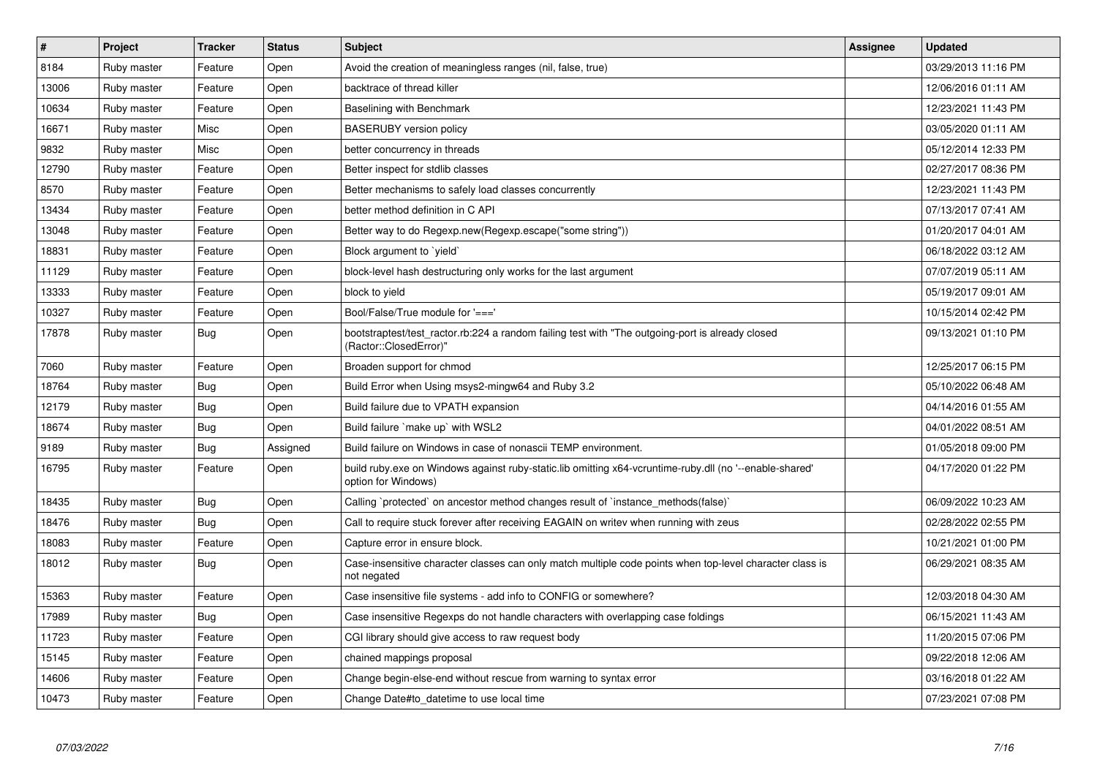| $\pmb{\#}$ | Project     | <b>Tracker</b> | <b>Status</b> | <b>Subject</b>                                                                                                                 | Assignee | <b>Updated</b>      |
|------------|-------------|----------------|---------------|--------------------------------------------------------------------------------------------------------------------------------|----------|---------------------|
| 8184       | Ruby master | Feature        | Open          | Avoid the creation of meaningless ranges (nil, false, true)                                                                    |          | 03/29/2013 11:16 PM |
| 13006      | Ruby master | Feature        | Open          | backtrace of thread killer                                                                                                     |          | 12/06/2016 01:11 AM |
| 10634      | Ruby master | Feature        | Open          | Baselining with Benchmark                                                                                                      |          | 12/23/2021 11:43 PM |
| 16671      | Ruby master | Misc           | Open          | <b>BASERUBY</b> version policy                                                                                                 |          | 03/05/2020 01:11 AM |
| 9832       | Ruby master | Misc           | Open          | better concurrency in threads                                                                                                  |          | 05/12/2014 12:33 PM |
| 12790      | Ruby master | Feature        | Open          | Better inspect for stdlib classes                                                                                              |          | 02/27/2017 08:36 PM |
| 8570       | Ruby master | Feature        | Open          | Better mechanisms to safely load classes concurrently                                                                          |          | 12/23/2021 11:43 PM |
| 13434      | Ruby master | Feature        | Open          | better method definition in C API                                                                                              |          | 07/13/2017 07:41 AM |
| 13048      | Ruby master | Feature        | Open          | Better way to do Regexp.new(Regexp.escape("some string"))                                                                      |          | 01/20/2017 04:01 AM |
| 18831      | Ruby master | Feature        | Open          | Block argument to `yield`                                                                                                      |          | 06/18/2022 03:12 AM |
| 11129      | Ruby master | Feature        | Open          | block-level hash destructuring only works for the last argument                                                                |          | 07/07/2019 05:11 AM |
| 13333      | Ruby master | Feature        | Open          | block to yield                                                                                                                 |          | 05/19/2017 09:01 AM |
| 10327      | Ruby master | Feature        | Open          | Bool/False/True module for '==='                                                                                               |          | 10/15/2014 02:42 PM |
| 17878      | Ruby master | <b>Bug</b>     | Open          | bootstraptest/test ractor.rb:224 a random failing test with "The outgoing-port is already closed<br>(Ractor::ClosedError)"     |          | 09/13/2021 01:10 PM |
| 7060       | Ruby master | Feature        | Open          | Broaden support for chmod                                                                                                      |          | 12/25/2017 06:15 PM |
| 18764      | Ruby master | <b>Bug</b>     | Open          | Build Error when Using msys2-mingw64 and Ruby 3.2                                                                              |          | 05/10/2022 06:48 AM |
| 12179      | Ruby master | <b>Bug</b>     | Open          | Build failure due to VPATH expansion                                                                                           |          | 04/14/2016 01:55 AM |
| 18674      | Ruby master | <b>Bug</b>     | Open          | Build failure `make up` with WSL2                                                                                              |          | 04/01/2022 08:51 AM |
| 9189       | Ruby master | <b>Bug</b>     | Assigned      | Build failure on Windows in case of nonascii TEMP environment.                                                                 |          | 01/05/2018 09:00 PM |
| 16795      | Ruby master | Feature        | Open          | build ruby exe on Windows against ruby-static lib omitting x64-vcruntime-ruby dll (no '--enable-shared'<br>option for Windows) |          | 04/17/2020 01:22 PM |
| 18435      | Ruby master | Bug            | Open          | Calling `protected` on ancestor method changes result of `instance methods(false)`                                             |          | 06/09/2022 10:23 AM |
| 18476      | Ruby master | <b>Bug</b>     | Open          | Call to require stuck forever after receiving EAGAIN on writev when running with zeus                                          |          | 02/28/2022 02:55 PM |
| 18083      | Ruby master | Feature        | Open          | Capture error in ensure block.                                                                                                 |          | 10/21/2021 01:00 PM |
| 18012      | Ruby master | Bug            | Open          | Case-insensitive character classes can only match multiple code points when top-level character class is<br>not negated        |          | 06/29/2021 08:35 AM |
| 15363      | Ruby master | Feature        | Open          | Case insensitive file systems - add info to CONFIG or somewhere?                                                               |          | 12/03/2018 04:30 AM |
| 17989      | Ruby master | Bug            | Open          | Case insensitive Regexps do not handle characters with overlapping case foldings                                               |          | 06/15/2021 11:43 AM |
| 11723      | Ruby master | Feature        | Open          | CGI library should give access to raw request body                                                                             |          | 11/20/2015 07:06 PM |
| 15145      | Ruby master | Feature        | Open          | chained mappings proposal                                                                                                      |          | 09/22/2018 12:06 AM |
| 14606      | Ruby master | Feature        | Open          | Change begin-else-end without rescue from warning to syntax error                                                              |          | 03/16/2018 01:22 AM |
| 10473      | Ruby master | Feature        | Open          | Change Date#to datetime to use local time                                                                                      |          | 07/23/2021 07:08 PM |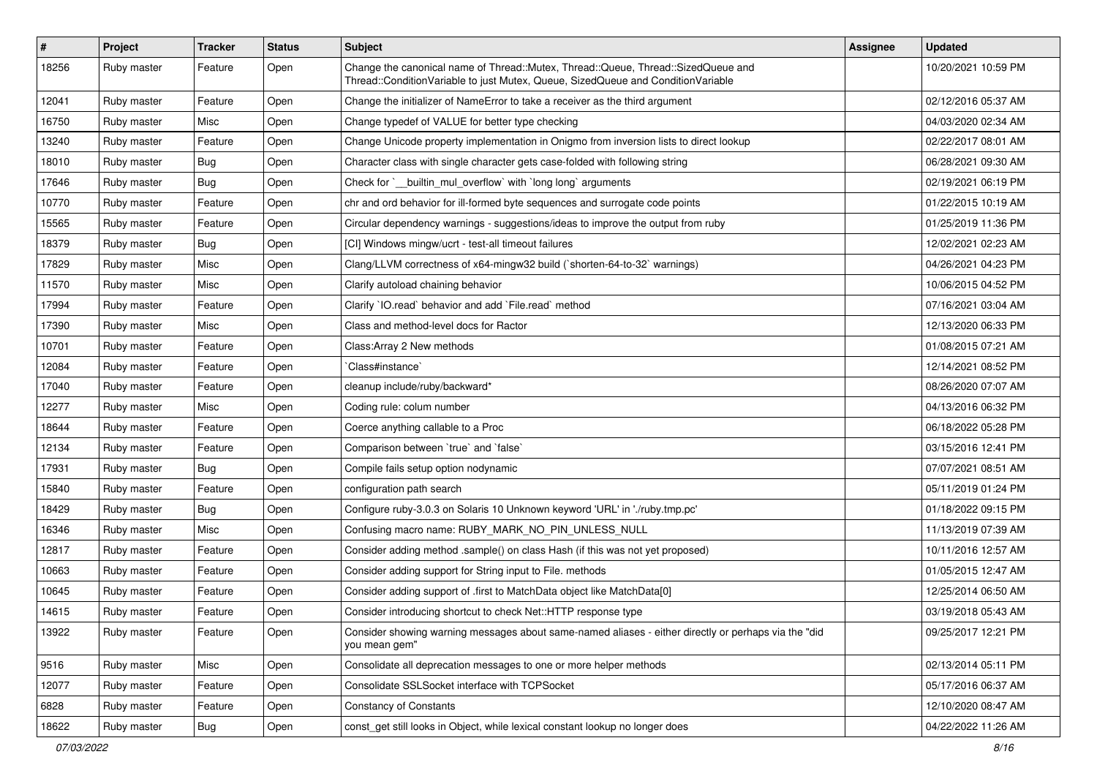| $\vert$ # | Project     | <b>Tracker</b> | <b>Status</b> | Subject                                                                                                                                                               | Assignee | <b>Updated</b>      |
|-----------|-------------|----------------|---------------|-----------------------------------------------------------------------------------------------------------------------------------------------------------------------|----------|---------------------|
| 18256     | Ruby master | Feature        | Open          | Change the canonical name of Thread::Mutex, Thread::Queue, Thread::SizedQueue and<br>Thread::ConditionVariable to just Mutex, Queue, SizedQueue and ConditionVariable |          | 10/20/2021 10:59 PM |
| 12041     | Ruby master | Feature        | Open          | Change the initializer of NameError to take a receiver as the third argument                                                                                          |          | 02/12/2016 05:37 AM |
| 16750     | Ruby master | Misc           | Open          | Change typedef of VALUE for better type checking                                                                                                                      |          | 04/03/2020 02:34 AM |
| 13240     | Ruby master | Feature        | Open          | Change Unicode property implementation in Onigmo from inversion lists to direct lookup                                                                                |          | 02/22/2017 08:01 AM |
| 18010     | Ruby master | <b>Bug</b>     | Open          | Character class with single character gets case-folded with following string                                                                                          |          | 06/28/2021 09:30 AM |
| 17646     | Ruby master | <b>Bug</b>     | Open          | Check for `_builtin_mul_overflow` with `long long` arguments                                                                                                          |          | 02/19/2021 06:19 PM |
| 10770     | Ruby master | Feature        | Open          | chr and ord behavior for ill-formed byte sequences and surrogate code points                                                                                          |          | 01/22/2015 10:19 AM |
| 15565     | Ruby master | Feature        | Open          | Circular dependency warnings - suggestions/ideas to improve the output from ruby                                                                                      |          | 01/25/2019 11:36 PM |
| 18379     | Ruby master | Bug            | Open          | [CI] Windows mingw/ucrt - test-all timeout failures                                                                                                                   |          | 12/02/2021 02:23 AM |
| 17829     | Ruby master | Misc           | Open          | Clang/LLVM correctness of x64-mingw32 build (`shorten-64-to-32` warnings)                                                                                             |          | 04/26/2021 04:23 PM |
| 11570     | Ruby master | Misc           | Open          | Clarify autoload chaining behavior                                                                                                                                    |          | 10/06/2015 04:52 PM |
| 17994     | Ruby master | Feature        | Open          | Clarify `IO.read` behavior and add `File.read` method                                                                                                                 |          | 07/16/2021 03:04 AM |
| 17390     | Ruby master | Misc           | Open          | Class and method-level docs for Ractor                                                                                                                                |          | 12/13/2020 06:33 PM |
| 10701     | Ruby master | Feature        | Open          | Class: Array 2 New methods                                                                                                                                            |          | 01/08/2015 07:21 AM |
| 12084     | Ruby master | Feature        | Open          | Class#instance`                                                                                                                                                       |          | 12/14/2021 08:52 PM |
| 17040     | Ruby master | Feature        | Open          | cleanup include/ruby/backward*                                                                                                                                        |          | 08/26/2020 07:07 AM |
| 12277     | Ruby master | Misc           | Open          | Coding rule: colum number                                                                                                                                             |          | 04/13/2016 06:32 PM |
| 18644     | Ruby master | Feature        | Open          | Coerce anything callable to a Proc                                                                                                                                    |          | 06/18/2022 05:28 PM |
| 12134     | Ruby master | Feature        | Open          | Comparison between 'true' and 'false'                                                                                                                                 |          | 03/15/2016 12:41 PM |
| 17931     | Ruby master | Bug            | Open          | Compile fails setup option nodynamic                                                                                                                                  |          | 07/07/2021 08:51 AM |
| 15840     | Ruby master | Feature        | Open          | configuration path search                                                                                                                                             |          | 05/11/2019 01:24 PM |
| 18429     | Ruby master | <b>Bug</b>     | Open          | Configure ruby-3.0.3 on Solaris 10 Unknown keyword 'URL' in './ruby.tmp.pc'                                                                                           |          | 01/18/2022 09:15 PM |
| 16346     | Ruby master | Misc           | Open          | Confusing macro name: RUBY_MARK_NO_PIN_UNLESS_NULL                                                                                                                    |          | 11/13/2019 07:39 AM |
| 12817     | Ruby master | Feature        | Open          | Consider adding method .sample() on class Hash (if this was not yet proposed)                                                                                         |          | 10/11/2016 12:57 AM |
| 10663     | Ruby master | Feature        | Open          | Consider adding support for String input to File. methods                                                                                                             |          | 01/05/2015 12:47 AM |
| 10645     | Ruby master | Feature        | Open          | Consider adding support of .first to MatchData object like MatchData[0]                                                                                               |          | 12/25/2014 06:50 AM |
| 14615     | Ruby master | Feature        | Open          | Consider introducing shortcut to check Net::HTTP response type                                                                                                        |          | 03/19/2018 05:43 AM |
| 13922     | Ruby master | Feature        | Open          | Consider showing warning messages about same-named aliases - either directly or perhaps via the "did<br>vou mean gem"                                                 |          | 09/25/2017 12:21 PM |
| 9516      | Ruby master | Misc           | Open          | Consolidate all deprecation messages to one or more helper methods                                                                                                    |          | 02/13/2014 05:11 PM |
| 12077     | Ruby master | Feature        | Open          | Consolidate SSLSocket interface with TCPSocket                                                                                                                        |          | 05/17/2016 06:37 AM |
| 6828      | Ruby master | Feature        | Open          | <b>Constancy of Constants</b>                                                                                                                                         |          | 12/10/2020 08:47 AM |
| 18622     | Ruby master | Bug            | Open          | const_get still looks in Object, while lexical constant lookup no longer does                                                                                         |          | 04/22/2022 11:26 AM |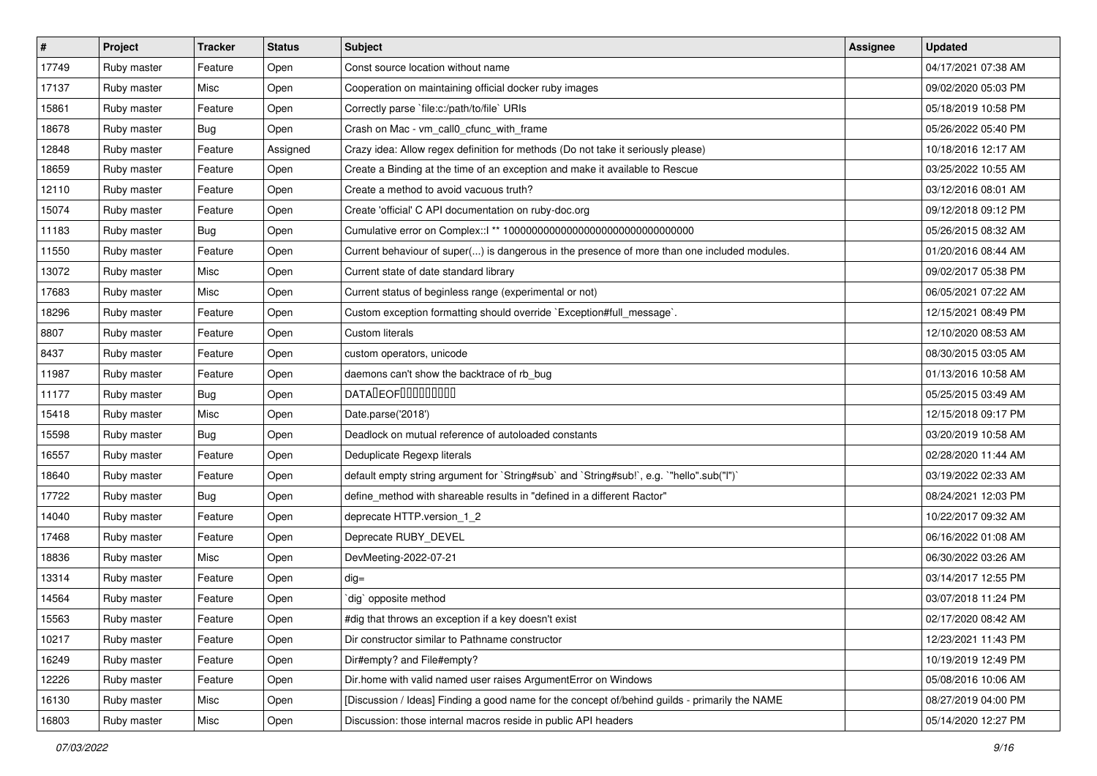| $\vert$ # | Project     | <b>Tracker</b> | <b>Status</b> | Subject                                                                                        | Assignee | <b>Updated</b>      |
|-----------|-------------|----------------|---------------|------------------------------------------------------------------------------------------------|----------|---------------------|
| 17749     | Ruby master | Feature        | Open          | Const source location without name                                                             |          | 04/17/2021 07:38 AM |
| 17137     | Ruby master | Misc           | Open          | Cooperation on maintaining official docker ruby images                                         |          | 09/02/2020 05:03 PM |
| 15861     | Ruby master | Feature        | Open          | Correctly parse `file:c:/path/to/file` URIs                                                    |          | 05/18/2019 10:58 PM |
| 18678     | Ruby master | Bug            | Open          | Crash on Mac - vm_call0_cfunc_with_frame                                                       |          | 05/26/2022 05:40 PM |
| 12848     | Ruby master | Feature        | Assigned      | Crazy idea: Allow regex definition for methods (Do not take it seriously please)               |          | 10/18/2016 12:17 AM |
| 18659     | Ruby master | Feature        | Open          | Create a Binding at the time of an exception and make it available to Rescue                   |          | 03/25/2022 10:55 AM |
| 12110     | Ruby master | Feature        | Open          | Create a method to avoid vacuous truth?                                                        |          | 03/12/2016 08:01 AM |
| 15074     | Ruby master | Feature        | Open          | Create 'official' C API documentation on ruby-doc.org                                          |          | 09/12/2018 09:12 PM |
| 11183     | Ruby master | <b>Bug</b>     | Open          | Cumulative error on Complex::   ** 100000000000000000000000000000000                           |          | 05/26/2015 08:32 AM |
| 11550     | Ruby master | Feature        | Open          | Current behaviour of super() is dangerous in the presence of more than one included modules.   |          | 01/20/2016 08:44 AM |
| 13072     | Ruby master | Misc           | Open          | Current state of date standard library                                                         |          | 09/02/2017 05:38 PM |
| 17683     | Ruby master | Misc           | Open          | Current status of beginless range (experimental or not)                                        |          | 06/05/2021 07:22 AM |
| 18296     | Ruby master | Feature        | Open          | Custom exception formatting should override `Exception#full_message`.                          |          | 12/15/2021 08:49 PM |
| 8807      | Ruby master | Feature        | Open          | Custom literals                                                                                |          | 12/10/2020 08:53 AM |
| 8437      | Ruby master | Feature        | Open          | custom operators, unicode                                                                      |          | 08/30/2015 03:05 AM |
| 11987     | Ruby master | Feature        | Open          | daemons can't show the backtrace of rb_bug                                                     |          | 01/13/2016 10:58 AM |
| 11177     | Ruby master | Bug            | Open          | <b>DATALEOFILILILILILI</b>                                                                     |          | 05/25/2015 03:49 AM |
| 15418     | Ruby master | Misc           | Open          | Date.parse('2018')                                                                             |          | 12/15/2018 09:17 PM |
| 15598     | Ruby master | Bug            | Open          | Deadlock on mutual reference of autoloaded constants                                           |          | 03/20/2019 10:58 AM |
| 16557     | Ruby master | Feature        | Open          | Deduplicate Regexp literals                                                                    |          | 02/28/2020 11:44 AM |
| 18640     | Ruby master | Feature        | Open          | default empty string argument for `String#sub` and `String#sub!`, e.g. `"hello".sub("I")`      |          | 03/19/2022 02:33 AM |
| 17722     | Ruby master | <b>Bug</b>     | Open          | define_method with shareable results in "defined in a different Ractor"                        |          | 08/24/2021 12:03 PM |
| 14040     | Ruby master | Feature        | Open          | deprecate HTTP.version_1_2                                                                     |          | 10/22/2017 09:32 AM |
| 17468     | Ruby master | Feature        | Open          | Deprecate RUBY_DEVEL                                                                           |          | 06/16/2022 01:08 AM |
| 18836     | Ruby master | Misc           | Open          | DevMeeting-2022-07-21                                                                          |          | 06/30/2022 03:26 AM |
| 13314     | Ruby master | Feature        | Open          | $dig =$                                                                                        |          | 03/14/2017 12:55 PM |
| 14564     | Ruby master | Feature        | Open          | dig` opposite method                                                                           |          | 03/07/2018 11:24 PM |
| 15563     | Ruby master | Feature        | Open          | #dig that throws an exception if a key doesn't exist                                           |          | 02/17/2020 08:42 AM |
| 10217     | Ruby master | Feature        | Open          | Dir constructor similar to Pathname constructor                                                |          | 12/23/2021 11:43 PM |
| 16249     | Ruby master | Feature        | Open          | Dir#empty? and File#empty?                                                                     |          | 10/19/2019 12:49 PM |
| 12226     | Ruby master | Feature        | Open          | Dir.home with valid named user raises ArgumentError on Windows                                 |          | 05/08/2016 10:06 AM |
| 16130     | Ruby master | Misc           | Open          | [Discussion / Ideas] Finding a good name for the concept of/behind guilds - primarily the NAME |          | 08/27/2019 04:00 PM |
| 16803     | Ruby master | Misc           | Open          | Discussion: those internal macros reside in public API headers                                 |          | 05/14/2020 12:27 PM |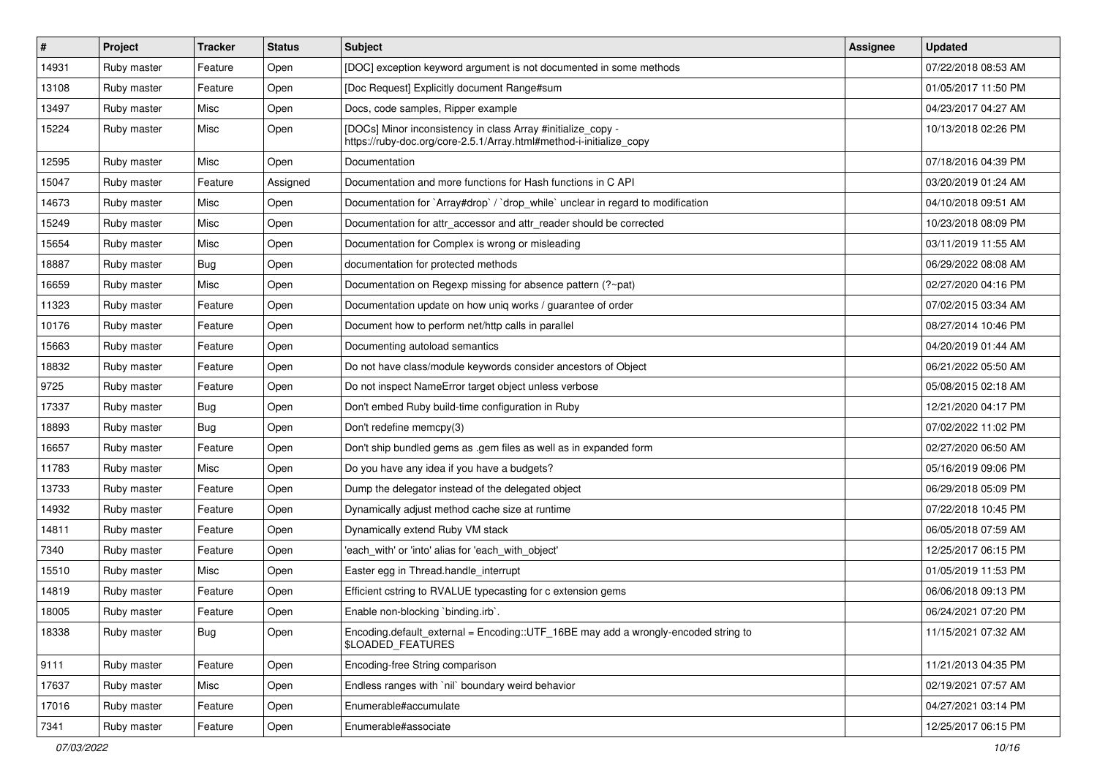| $\vert$ # | Project     | <b>Tracker</b> | <b>Status</b> | <b>Subject</b>                                                                                                                      | <b>Assignee</b> | <b>Updated</b>      |
|-----------|-------------|----------------|---------------|-------------------------------------------------------------------------------------------------------------------------------------|-----------------|---------------------|
| 14931     | Ruby master | Feature        | Open          | [DOC] exception keyword argument is not documented in some methods                                                                  |                 | 07/22/2018 08:53 AM |
| 13108     | Ruby master | Feature        | Open          | [Doc Request] Explicitly document Range#sum                                                                                         |                 | 01/05/2017 11:50 PM |
| 13497     | Ruby master | Misc           | Open          | Docs, code samples, Ripper example                                                                                                  |                 | 04/23/2017 04:27 AM |
| 15224     | Ruby master | Misc           | Open          | [DOCs] Minor inconsistency in class Array #initialize_copy -<br>https://ruby-doc.org/core-2.5.1/Array.html#method-i-initialize_copy |                 | 10/13/2018 02:26 PM |
| 12595     | Ruby master | Misc           | Open          | Documentation                                                                                                                       |                 | 07/18/2016 04:39 PM |
| 15047     | Ruby master | Feature        | Assigned      | Documentation and more functions for Hash functions in C API                                                                        |                 | 03/20/2019 01:24 AM |
| 14673     | Ruby master | Misc           | Open          | Documentation for `Array#drop` / `drop_while` unclear in regard to modification                                                     |                 | 04/10/2018 09:51 AM |
| 15249     | Ruby master | Misc           | Open          | Documentation for attr_accessor and attr_reader should be corrected                                                                 |                 | 10/23/2018 08:09 PM |
| 15654     | Ruby master | Misc           | Open          | Documentation for Complex is wrong or misleading                                                                                    |                 | 03/11/2019 11:55 AM |
| 18887     | Ruby master | Bug            | Open          | documentation for protected methods                                                                                                 |                 | 06/29/2022 08:08 AM |
| 16659     | Ruby master | Misc           | Open          | Documentation on Regexp missing for absence pattern (?~pat)                                                                         |                 | 02/27/2020 04:16 PM |
| 11323     | Ruby master | Feature        | Open          | Documentation update on how uniq works / guarantee of order                                                                         |                 | 07/02/2015 03:34 AM |
| 10176     | Ruby master | Feature        | Open          | Document how to perform net/http calls in parallel                                                                                  |                 | 08/27/2014 10:46 PM |
| 15663     | Ruby master | Feature        | Open          | Documenting autoload semantics                                                                                                      |                 | 04/20/2019 01:44 AM |
| 18832     | Ruby master | Feature        | Open          | Do not have class/module keywords consider ancestors of Object                                                                      |                 | 06/21/2022 05:50 AM |
| 9725      | Ruby master | Feature        | Open          | Do not inspect NameError target object unless verbose                                                                               |                 | 05/08/2015 02:18 AM |
| 17337     | Ruby master | <b>Bug</b>     | Open          | Don't embed Ruby build-time configuration in Ruby                                                                                   |                 | 12/21/2020 04:17 PM |
| 18893     | Ruby master | Bug            | Open          | Don't redefine memcpy(3)                                                                                                            |                 | 07/02/2022 11:02 PM |
| 16657     | Ruby master | Feature        | Open          | Don't ship bundled gems as .gem files as well as in expanded form                                                                   |                 | 02/27/2020 06:50 AM |
| 11783     | Ruby master | Misc           | Open          | Do you have any idea if you have a budgets?                                                                                         |                 | 05/16/2019 09:06 PM |
| 13733     | Ruby master | Feature        | Open          | Dump the delegator instead of the delegated object                                                                                  |                 | 06/29/2018 05:09 PM |
| 14932     | Ruby master | Feature        | Open          | Dynamically adjust method cache size at runtime                                                                                     |                 | 07/22/2018 10:45 PM |
| 14811     | Ruby master | Feature        | Open          | Dynamically extend Ruby VM stack                                                                                                    |                 | 06/05/2018 07:59 AM |
| 7340      | Ruby master | Feature        | Open          | 'each_with' or 'into' alias for 'each_with_object'                                                                                  |                 | 12/25/2017 06:15 PM |
| 15510     | Ruby master | Misc           | Open          | Easter egg in Thread.handle_interrupt                                                                                               |                 | 01/05/2019 11:53 PM |
| 14819     | Ruby master | Feature        | Open          | Efficient cstring to RVALUE typecasting for c extension gems                                                                        |                 | 06/06/2018 09:13 PM |
| 18005     | Ruby master | Feature        | Open          | Enable non-blocking `binding.irb`.                                                                                                  |                 | 06/24/2021 07:20 PM |
| 18338     | Ruby master | Bug            | Open          | Encoding default_external = Encoding::UTF_16BE may add a wrongly-encoded string to<br>\$LOADED_FEATURES                             |                 | 11/15/2021 07:32 AM |
| 9111      | Ruby master | Feature        | Open          | Encoding-free String comparison                                                                                                     |                 | 11/21/2013 04:35 PM |
| 17637     | Ruby master | Misc           | Open          | Endless ranges with `nil` boundary weird behavior                                                                                   |                 | 02/19/2021 07:57 AM |
| 17016     | Ruby master | Feature        | Open          | Enumerable#accumulate                                                                                                               |                 | 04/27/2021 03:14 PM |
| 7341      | Ruby master | Feature        | Open          | Enumerable#associate                                                                                                                |                 | 12/25/2017 06:15 PM |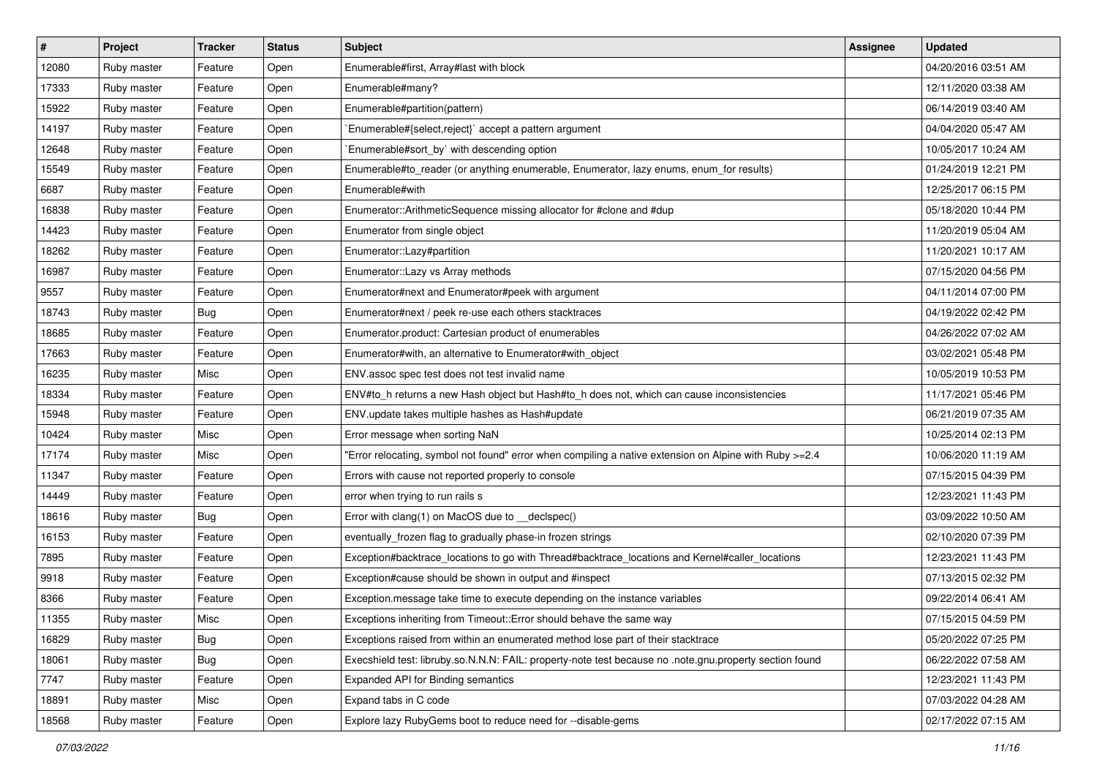| #     | Project     | <b>Tracker</b> | <b>Status</b> | Subject                                                                                                 | Assignee | <b>Updated</b>      |
|-------|-------------|----------------|---------------|---------------------------------------------------------------------------------------------------------|----------|---------------------|
| 12080 | Ruby master | Feature        | Open          | Enumerable#first, Array#last with block                                                                 |          | 04/20/2016 03:51 AM |
| 17333 | Ruby master | Feature        | Open          | Enumerable#many?                                                                                        |          | 12/11/2020 03:38 AM |
| 15922 | Ruby master | Feature        | Open          | Enumerable#partition(pattern)                                                                           |          | 06/14/2019 03:40 AM |
| 14197 | Ruby master | Feature        | Open          | Enumerable#{select,reject}` accept a pattern argument                                                   |          | 04/04/2020 05:47 AM |
| 12648 | Ruby master | Feature        | Open          | `Enumerable#sort_by` with descending option                                                             |          | 10/05/2017 10:24 AM |
| 15549 | Ruby master | Feature        | Open          | Enumerable#to_reader (or anything enumerable, Enumerator, lazy enums, enum_for results)                 |          | 01/24/2019 12:21 PM |
| 6687  | Ruby master | Feature        | Open          | Enumerable#with                                                                                         |          | 12/25/2017 06:15 PM |
| 16838 | Ruby master | Feature        | Open          | Enumerator::ArithmeticSequence missing allocator for #clone and #dup                                    |          | 05/18/2020 10:44 PM |
| 14423 | Ruby master | Feature        | Open          | Enumerator from single object                                                                           |          | 11/20/2019 05:04 AM |
| 18262 | Ruby master | Feature        | Open          | Enumerator::Lazy#partition                                                                              |          | 11/20/2021 10:17 AM |
| 16987 | Ruby master | Feature        | Open          | Enumerator:: Lazy vs Array methods                                                                      |          | 07/15/2020 04:56 PM |
| 9557  | Ruby master | Feature        | Open          | Enumerator#next and Enumerator#peek with argument                                                       |          | 04/11/2014 07:00 PM |
| 18743 | Ruby master | Bug            | Open          | Enumerator#next / peek re-use each others stacktraces                                                   |          | 04/19/2022 02:42 PM |
| 18685 | Ruby master | Feature        | Open          | Enumerator.product: Cartesian product of enumerables                                                    |          | 04/26/2022 07:02 AM |
| 17663 | Ruby master | Feature        | Open          | Enumerator#with, an alternative to Enumerator#with_object                                               |          | 03/02/2021 05:48 PM |
| 16235 | Ruby master | Misc           | Open          | ENV assoc spec test does not test invalid name                                                          |          | 10/05/2019 10:53 PM |
| 18334 | Ruby master | Feature        | Open          | ENV#to_h returns a new Hash object but Hash#to_h does not, which can cause inconsistencies              |          | 11/17/2021 05:46 PM |
| 15948 | Ruby master | Feature        | Open          | ENV.update takes multiple hashes as Hash#update                                                         |          | 06/21/2019 07:35 AM |
| 10424 | Ruby master | Misc           | Open          | Error message when sorting NaN                                                                          |          | 10/25/2014 02:13 PM |
| 17174 | Ruby master | Misc           | Open          | Error relocating, symbol not found" error when compiling a native extension on Alpine with Ruby >=2.4"  |          | 10/06/2020 11:19 AM |
| 11347 | Ruby master | Feature        | Open          | Errors with cause not reported properly to console                                                      |          | 07/15/2015 04:39 PM |
| 14449 | Ruby master | Feature        | Open          | error when trying to run rails s                                                                        |          | 12/23/2021 11:43 PM |
| 18616 | Ruby master | <b>Bug</b>     | Open          | Error with clang(1) on MacOS due to _declspec()                                                         |          | 03/09/2022 10:50 AM |
| 16153 | Ruby master | Feature        | Open          | eventually_frozen flag to gradually phase-in frozen strings                                             |          | 02/10/2020 07:39 PM |
| 7895  | Ruby master | Feature        | Open          | Exception#backtrace_locations to go with Thread#backtrace_locations and Kernel#caller_locations         |          | 12/23/2021 11:43 PM |
| 9918  | Ruby master | Feature        | Open          | Exception#cause should be shown in output and #inspect                                                  |          | 07/13/2015 02:32 PM |
| 8366  | Ruby master | Feature        | Open          | Exception message take time to execute depending on the instance variables                              |          | 09/22/2014 06:41 AM |
| 11355 | Ruby master | Misc           | Open          | Exceptions inheriting from Timeout:: Error should behave the same way                                   |          | 07/15/2015 04:59 PM |
| 16829 | Ruby master | Bug            | Open          | Exceptions raised from within an enumerated method lose part of their stacktrace                        |          | 05/20/2022 07:25 PM |
| 18061 | Ruby master | Bug            | Open          | Execshield test: libruby.so.N.N.N: FAIL: property-note test because no .note.gnu.property section found |          | 06/22/2022 07:58 AM |
| 7747  | Ruby master | Feature        | Open          | Expanded API for Binding semantics                                                                      |          | 12/23/2021 11:43 PM |
| 18891 | Ruby master | Misc           | Open          | Expand tabs in C code                                                                                   |          | 07/03/2022 04:28 AM |
| 18568 | Ruby master | Feature        | Open          | Explore lazy RubyGems boot to reduce need for --disable-gems                                            |          | 02/17/2022 07:15 AM |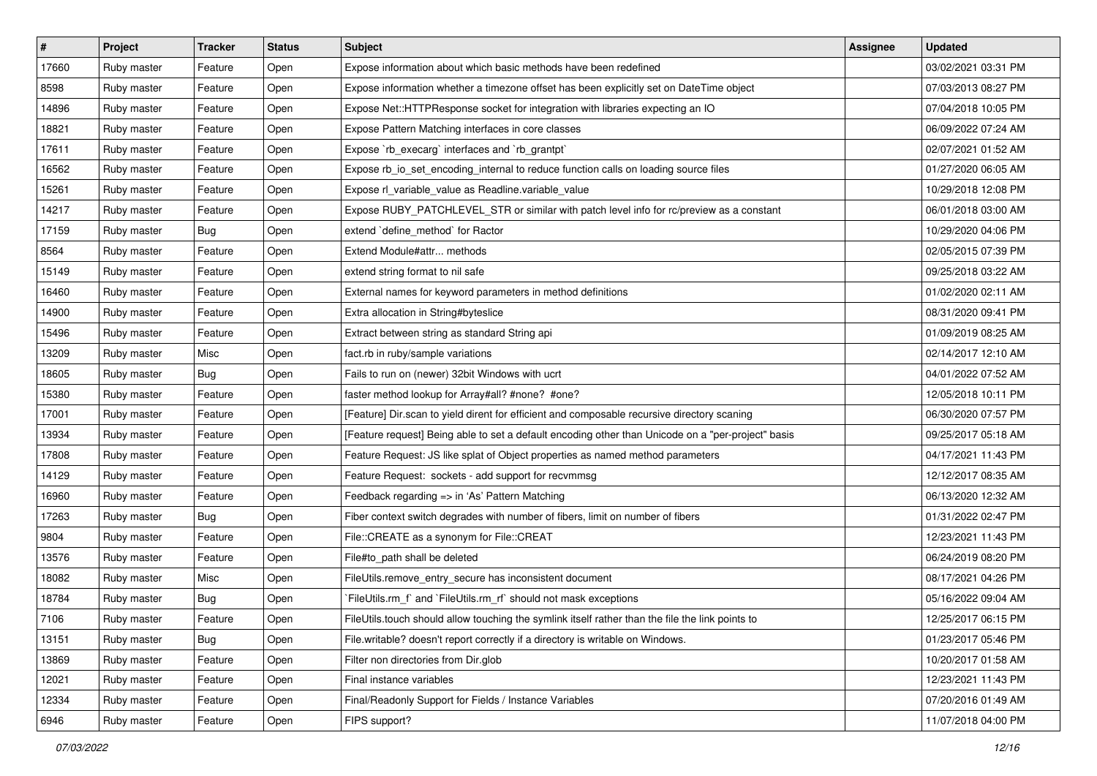| $\vert$ # | Project     | <b>Tracker</b> | <b>Status</b> | Subject                                                                                            | <b>Assignee</b> | <b>Updated</b>      |
|-----------|-------------|----------------|---------------|----------------------------------------------------------------------------------------------------|-----------------|---------------------|
| 17660     | Ruby master | Feature        | Open          | Expose information about which basic methods have been redefined                                   |                 | 03/02/2021 03:31 PM |
| 8598      | Ruby master | Feature        | Open          | Expose information whether a timezone offset has been explicitly set on DateTime object            |                 | 07/03/2013 08:27 PM |
| 14896     | Ruby master | Feature        | Open          | Expose Net::HTTPResponse socket for integration with libraries expecting an IO                     |                 | 07/04/2018 10:05 PM |
| 18821     | Ruby master | Feature        | Open          | Expose Pattern Matching interfaces in core classes                                                 |                 | 06/09/2022 07:24 AM |
| 17611     | Ruby master | Feature        | Open          | Expose `rb_execarg` interfaces and `rb_grantpt`                                                    |                 | 02/07/2021 01:52 AM |
| 16562     | Ruby master | Feature        | Open          | Expose rb_io_set_encoding_internal to reduce function calls on loading source files                |                 | 01/27/2020 06:05 AM |
| 15261     | Ruby master | Feature        | Open          | Expose rl_variable_value as Readline.variable_value                                                |                 | 10/29/2018 12:08 PM |
| 14217     | Ruby master | Feature        | Open          | Expose RUBY_PATCHLEVEL_STR or similar with patch level info for rc/preview as a constant           |                 | 06/01/2018 03:00 AM |
| 17159     | Ruby master | Bug            | Open          | extend 'define_method' for Ractor                                                                  |                 | 10/29/2020 04:06 PM |
| 8564      | Ruby master | Feature        | Open          | Extend Module#attr methods                                                                         |                 | 02/05/2015 07:39 PM |
| 15149     | Ruby master | Feature        | Open          | extend string format to nil safe                                                                   |                 | 09/25/2018 03:22 AM |
| 16460     | Ruby master | Feature        | Open          | External names for keyword parameters in method definitions                                        |                 | 01/02/2020 02:11 AM |
| 14900     | Ruby master | Feature        | Open          | Extra allocation in String#byteslice                                                               |                 | 08/31/2020 09:41 PM |
| 15496     | Ruby master | Feature        | Open          | Extract between string as standard String api                                                      |                 | 01/09/2019 08:25 AM |
| 13209     | Ruby master | Misc           | Open          | fact.rb in ruby/sample variations                                                                  |                 | 02/14/2017 12:10 AM |
| 18605     | Ruby master | Bug            | Open          | Fails to run on (newer) 32bit Windows with ucrt                                                    |                 | 04/01/2022 07:52 AM |
| 15380     | Ruby master | Feature        | Open          | faster method lookup for Array#all? #none? #one?                                                   |                 | 12/05/2018 10:11 PM |
| 17001     | Ruby master | Feature        | Open          | [Feature] Dir.scan to yield dirent for efficient and composable recursive directory scaning        |                 | 06/30/2020 07:57 PM |
| 13934     | Ruby master | Feature        | Open          | [Feature request] Being able to set a default encoding other than Unicode on a "per-project" basis |                 | 09/25/2017 05:18 AM |
| 17808     | Ruby master | Feature        | Open          | Feature Request: JS like splat of Object properties as named method parameters                     |                 | 04/17/2021 11:43 PM |
| 14129     | Ruby master | Feature        | Open          | Feature Request: sockets - add support for recvmmsg                                                |                 | 12/12/2017 08:35 AM |
| 16960     | Ruby master | Feature        | Open          | Feedback regarding => in 'As' Pattern Matching                                                     |                 | 06/13/2020 12:32 AM |
| 17263     | Ruby master | <b>Bug</b>     | Open          | Fiber context switch degrades with number of fibers, limit on number of fibers                     |                 | 01/31/2022 02:47 PM |
| 9804      | Ruby master | Feature        | Open          | File::CREATE as a synonym for File::CREAT                                                          |                 | 12/23/2021 11:43 PM |
| 13576     | Ruby master | Feature        | Open          | File#to_path shall be deleted                                                                      |                 | 06/24/2019 08:20 PM |
| 18082     | Ruby master | Misc           | Open          | FileUtils.remove_entry_secure has inconsistent document                                            |                 | 08/17/2021 04:26 PM |
| 18784     | Ruby master | Bug            | Open          | FileUtils.rm_f` and `FileUtils.rm_rf` should not mask exceptions                                   |                 | 05/16/2022 09:04 AM |
| 7106      | Ruby master | Feature        | Open          | FileUtils.touch should allow touching the symlink itself rather than the file the link points to   |                 | 12/25/2017 06:15 PM |
| 13151     | Ruby master | Bug            | Open          | File.writable? doesn't report correctly if a directory is writable on Windows.                     |                 | 01/23/2017 05:46 PM |
| 13869     | Ruby master | Feature        | Open          | Filter non directories from Dir.glob                                                               |                 | 10/20/2017 01:58 AM |
| 12021     | Ruby master | Feature        | Open          | Final instance variables                                                                           |                 | 12/23/2021 11:43 PM |
| 12334     | Ruby master | Feature        | Open          | Final/Readonly Support for Fields / Instance Variables                                             |                 | 07/20/2016 01:49 AM |
| 6946      | Ruby master | Feature        | Open          | FIPS support?                                                                                      |                 | 11/07/2018 04:00 PM |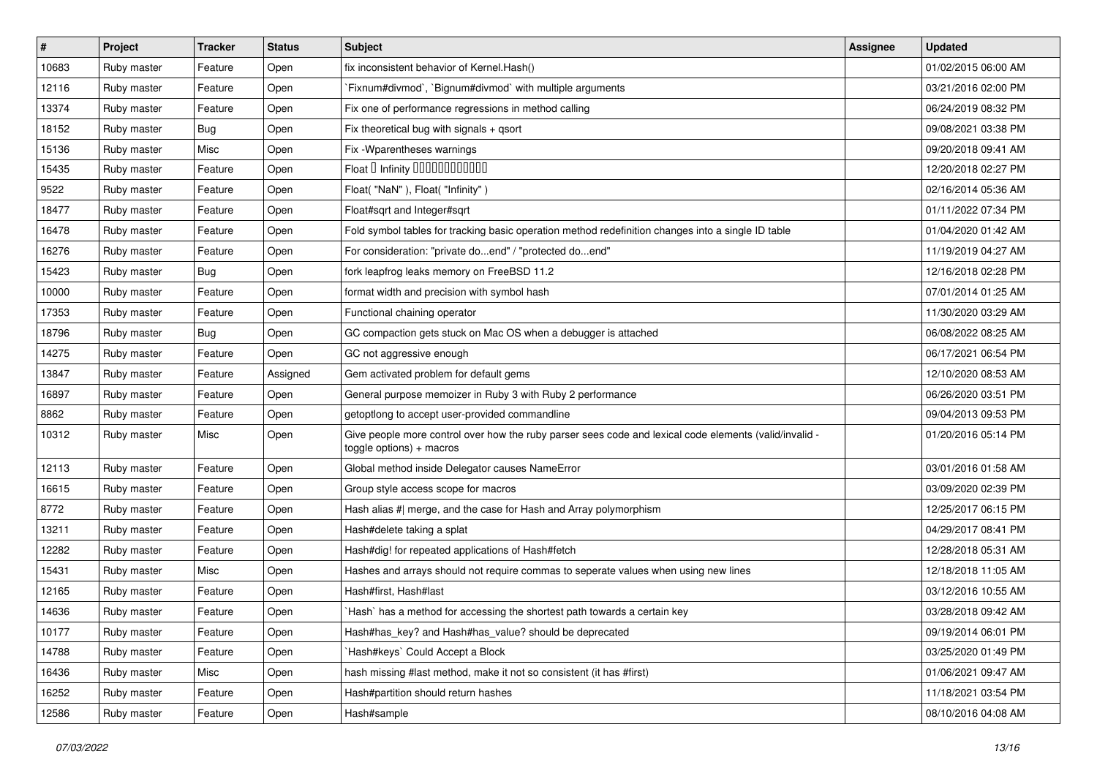| $\sharp$ | Project     | <b>Tracker</b> | <b>Status</b> | <b>Subject</b>                                                                                                                     | Assignee | <b>Updated</b>      |
|----------|-------------|----------------|---------------|------------------------------------------------------------------------------------------------------------------------------------|----------|---------------------|
| 10683    | Ruby master | Feature        | Open          | fix inconsistent behavior of Kernel.Hash()                                                                                         |          | 01/02/2015 06:00 AM |
| 12116    | Ruby master | Feature        | Open          | Fixnum#divmod`, `Bignum#divmod` with multiple arguments                                                                            |          | 03/21/2016 02:00 PM |
| 13374    | Ruby master | Feature        | Open          | Fix one of performance regressions in method calling                                                                               |          | 06/24/2019 08:32 PM |
| 18152    | Ruby master | <b>Bug</b>     | Open          | Fix theoretical bug with signals + qsort                                                                                           |          | 09/08/2021 03:38 PM |
| 15136    | Ruby master | Misc           | Open          | Fix - Wparentheses warnings                                                                                                        |          | 09/20/2018 09:41 AM |
| 15435    | Ruby master | Feature        | Open          | Float D Infinity 000000000000                                                                                                      |          | 12/20/2018 02:27 PM |
| 9522     | Ruby master | Feature        | Open          | Float("NaN"), Float("Infinity")                                                                                                    |          | 02/16/2014 05:36 AM |
| 18477    | Ruby master | Feature        | Open          | Float#sqrt and Integer#sqrt                                                                                                        |          | 01/11/2022 07:34 PM |
| 16478    | Ruby master | Feature        | Open          | Fold symbol tables for tracking basic operation method redefinition changes into a single ID table                                 |          | 01/04/2020 01:42 AM |
| 16276    | Ruby master | Feature        | Open          | For consideration: "private doend" / "protected doend"                                                                             |          | 11/19/2019 04:27 AM |
| 15423    | Ruby master | <b>Bug</b>     | Open          | fork leapfrog leaks memory on FreeBSD 11.2                                                                                         |          | 12/16/2018 02:28 PM |
| 10000    | Ruby master | Feature        | Open          | format width and precision with symbol hash                                                                                        |          | 07/01/2014 01:25 AM |
| 17353    | Ruby master | Feature        | Open          | Functional chaining operator                                                                                                       |          | 11/30/2020 03:29 AM |
| 18796    | Ruby master | <b>Bug</b>     | Open          | GC compaction gets stuck on Mac OS when a debugger is attached                                                                     |          | 06/08/2022 08:25 AM |
| 14275    | Ruby master | Feature        | Open          | GC not aggressive enough                                                                                                           |          | 06/17/2021 06:54 PM |
| 13847    | Ruby master | Feature        | Assigned      | Gem activated problem for default gems                                                                                             |          | 12/10/2020 08:53 AM |
| 16897    | Ruby master | Feature        | Open          | General purpose memoizer in Ruby 3 with Ruby 2 performance                                                                         |          | 06/26/2020 03:51 PM |
| 8862     | Ruby master | Feature        | Open          | getoptlong to accept user-provided commandline                                                                                     |          | 09/04/2013 09:53 PM |
| 10312    | Ruby master | Misc           | Open          | Give people more control over how the ruby parser sees code and lexical code elements (valid/invalid -<br>toggle options) + macros |          | 01/20/2016 05:14 PM |
| 12113    | Ruby master | Feature        | Open          | Global method inside Delegator causes NameError                                                                                    |          | 03/01/2016 01:58 AM |
| 16615    | Ruby master | Feature        | Open          | Group style access scope for macros                                                                                                |          | 03/09/2020 02:39 PM |
| 8772     | Ruby master | Feature        | Open          | Hash alias #  merge, and the case for Hash and Array polymorphism                                                                  |          | 12/25/2017 06:15 PM |
| 13211    | Ruby master | Feature        | Open          | Hash#delete taking a splat                                                                                                         |          | 04/29/2017 08:41 PM |
| 12282    | Ruby master | Feature        | Open          | Hash#dig! for repeated applications of Hash#fetch                                                                                  |          | 12/28/2018 05:31 AM |
| 15431    | Ruby master | Misc           | Open          | Hashes and arrays should not require commas to seperate values when using new lines                                                |          | 12/18/2018 11:05 AM |
| 12165    | Ruby master | Feature        | Open          | Hash#first, Hash#last                                                                                                              |          | 03/12/2016 10:55 AM |
| 14636    | Ruby master | Feature        | Open          | `Hash` has a method for accessing the shortest path towards a certain key                                                          |          | 03/28/2018 09:42 AM |
| 10177    | Ruby master | Feature        | Open          | Hash#has_key? and Hash#has_value? should be deprecated                                                                             |          | 09/19/2014 06:01 PM |
| 14788    | Ruby master | Feature        | Open          | Hash#keys` Could Accept a Block                                                                                                    |          | 03/25/2020 01:49 PM |
| 16436    | Ruby master | Misc           | Open          | hash missing #last method, make it not so consistent (it has #first)                                                               |          | 01/06/2021 09:47 AM |
| 16252    | Ruby master | Feature        | Open          | Hash#partition should return hashes                                                                                                |          | 11/18/2021 03:54 PM |
| 12586    | Ruby master | Feature        | Open          | Hash#sample                                                                                                                        |          | 08/10/2016 04:08 AM |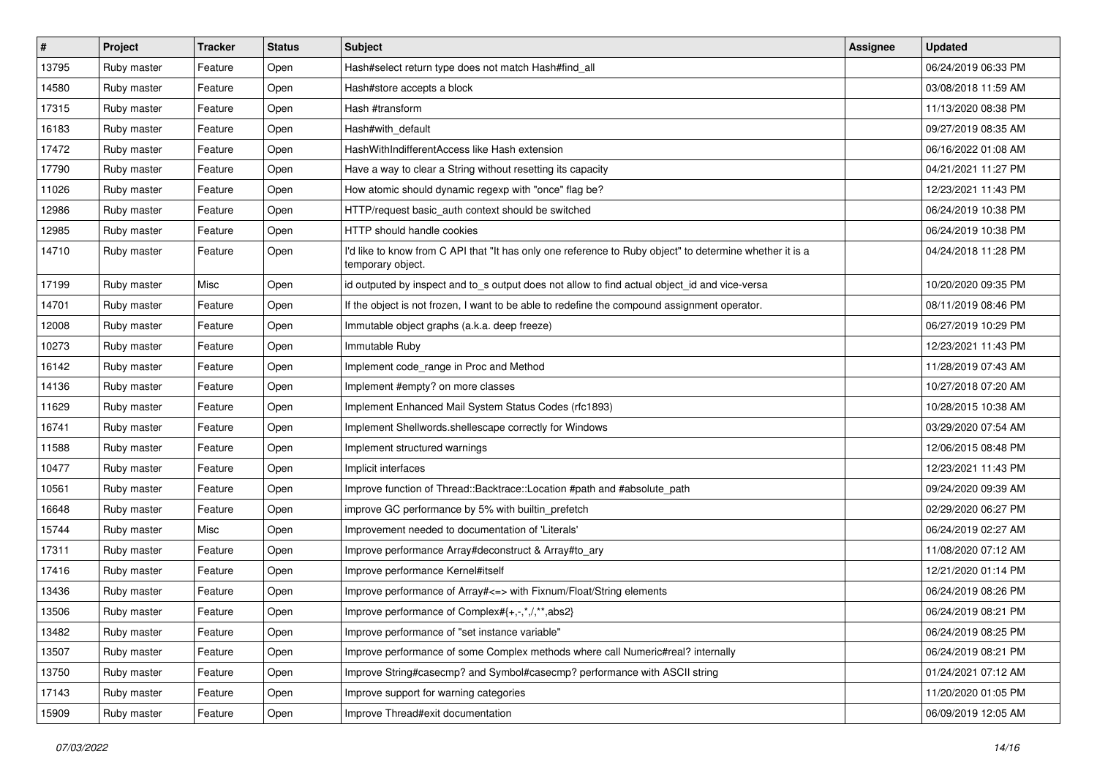| #     | Project     | <b>Tracker</b> | <b>Status</b> | Subject                                                                                                                       | Assignee | <b>Updated</b>      |
|-------|-------------|----------------|---------------|-------------------------------------------------------------------------------------------------------------------------------|----------|---------------------|
| 13795 | Ruby master | Feature        | Open          | Hash#select return type does not match Hash#find_all                                                                          |          | 06/24/2019 06:33 PM |
| 14580 | Ruby master | Feature        | Open          | Hash#store accepts a block                                                                                                    |          | 03/08/2018 11:59 AM |
| 17315 | Ruby master | Feature        | Open          | Hash #transform                                                                                                               |          | 11/13/2020 08:38 PM |
| 16183 | Ruby master | Feature        | Open          | Hash#with_default                                                                                                             |          | 09/27/2019 08:35 AM |
| 17472 | Ruby master | Feature        | Open          | HashWithIndifferentAccess like Hash extension                                                                                 |          | 06/16/2022 01:08 AM |
| 17790 | Ruby master | Feature        | Open          | Have a way to clear a String without resetting its capacity                                                                   |          | 04/21/2021 11:27 PM |
| 11026 | Ruby master | Feature        | Open          | How atomic should dynamic regexp with "once" flag be?                                                                         |          | 12/23/2021 11:43 PM |
| 12986 | Ruby master | Feature        | Open          | HTTP/request basic_auth context should be switched                                                                            |          | 06/24/2019 10:38 PM |
| 12985 | Ruby master | Feature        | Open          | HTTP should handle cookies                                                                                                    |          | 06/24/2019 10:38 PM |
| 14710 | Ruby master | Feature        | Open          | I'd like to know from C API that "It has only one reference to Ruby object" to determine whether it is a<br>temporary object. |          | 04/24/2018 11:28 PM |
| 17199 | Ruby master | Misc           | Open          | id outputed by inspect and to_s output does not allow to find actual object_id and vice-versa                                 |          | 10/20/2020 09:35 PM |
| 14701 | Ruby master | Feature        | Open          | If the object is not frozen, I want to be able to redefine the compound assignment operator.                                  |          | 08/11/2019 08:46 PM |
| 12008 | Ruby master | Feature        | Open          | Immutable object graphs (a.k.a. deep freeze)                                                                                  |          | 06/27/2019 10:29 PM |
| 10273 | Ruby master | Feature        | Open          | Immutable Ruby                                                                                                                |          | 12/23/2021 11:43 PM |
| 16142 | Ruby master | Feature        | Open          | Implement code range in Proc and Method                                                                                       |          | 11/28/2019 07:43 AM |
| 14136 | Ruby master | Feature        | Open          | Implement #empty? on more classes                                                                                             |          | 10/27/2018 07:20 AM |
| 11629 | Ruby master | Feature        | Open          | Implement Enhanced Mail System Status Codes (rfc1893)                                                                         |          | 10/28/2015 10:38 AM |
| 16741 | Ruby master | Feature        | Open          | Implement Shellwords.shellescape correctly for Windows                                                                        |          | 03/29/2020 07:54 AM |
| 11588 | Ruby master | Feature        | Open          | Implement structured warnings                                                                                                 |          | 12/06/2015 08:48 PM |
| 10477 | Ruby master | Feature        | Open          | Implicit interfaces                                                                                                           |          | 12/23/2021 11:43 PM |
| 10561 | Ruby master | Feature        | Open          | Improve function of Thread::Backtrace::Location #path and #absolute_path                                                      |          | 09/24/2020 09:39 AM |
| 16648 | Ruby master | Feature        | Open          | improve GC performance by 5% with builtin_prefetch                                                                            |          | 02/29/2020 06:27 PM |
| 15744 | Ruby master | Misc           | Open          | Improvement needed to documentation of 'Literals'                                                                             |          | 06/24/2019 02:27 AM |
| 17311 | Ruby master | Feature        | Open          | Improve performance Array#deconstruct & Array#to_ary                                                                          |          | 11/08/2020 07:12 AM |
| 17416 | Ruby master | Feature        | Open          | Improve performance Kernel#itself                                                                                             |          | 12/21/2020 01:14 PM |
| 13436 | Ruby master | Feature        | Open          | Improve performance of Array# <= > with Fixnum/Float/String elements                                                          |          | 06/24/2019 08:26 PM |
| 13506 | Ruby master | Feature        | Open          | Improve performance of Complex#{+,-,*,/,**,abs2}                                                                              |          | 06/24/2019 08:21 PM |
| 13482 | Ruby master | Feature        | Open          | Improve performance of "set instance variable"                                                                                |          | 06/24/2019 08:25 PM |
| 13507 | Ruby master | Feature        | Open          | Improve performance of some Complex methods where call Numeric#real? internally                                               |          | 06/24/2019 08:21 PM |
| 13750 | Ruby master | Feature        | Open          | Improve String#casecmp? and Symbol#casecmp? performance with ASCII string                                                     |          | 01/24/2021 07:12 AM |
| 17143 | Ruby master | Feature        | Open          | Improve support for warning categories                                                                                        |          | 11/20/2020 01:05 PM |
| 15909 | Ruby master | Feature        | Open          | Improve Thread#exit documentation                                                                                             |          | 06/09/2019 12:05 AM |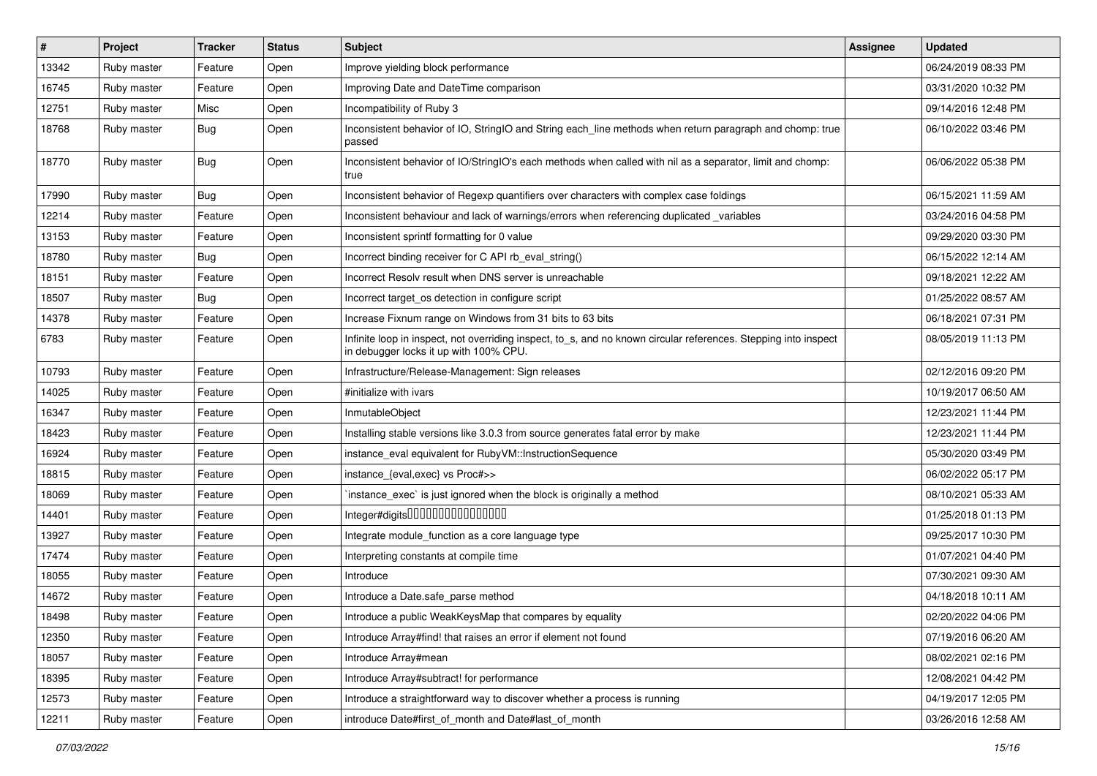| $\vert$ # | Project     | <b>Tracker</b> | <b>Status</b> | <b>Subject</b>                                                                                                                                            | <b>Assignee</b> | <b>Updated</b>      |
|-----------|-------------|----------------|---------------|-----------------------------------------------------------------------------------------------------------------------------------------------------------|-----------------|---------------------|
| 13342     | Ruby master | Feature        | Open          | Improve yielding block performance                                                                                                                        |                 | 06/24/2019 08:33 PM |
| 16745     | Ruby master | Feature        | Open          | Improving Date and DateTime comparison                                                                                                                    |                 | 03/31/2020 10:32 PM |
| 12751     | Ruby master | Misc           | Open          | Incompatibility of Ruby 3                                                                                                                                 |                 | 09/14/2016 12:48 PM |
| 18768     | Ruby master | <b>Bug</b>     | Open          | Inconsistent behavior of IO, StringIO and String each_line methods when return paragraph and chomp: true<br>passed                                        |                 | 06/10/2022 03:46 PM |
| 18770     | Ruby master | <b>Bug</b>     | Open          | Inconsistent behavior of IO/StringIO's each methods when called with nil as a separator, limit and chomp:<br>true                                         |                 | 06/06/2022 05:38 PM |
| 17990     | Ruby master | <b>Bug</b>     | Open          | Inconsistent behavior of Regexp quantifiers over characters with complex case foldings                                                                    |                 | 06/15/2021 11:59 AM |
| 12214     | Ruby master | Feature        | Open          | Inconsistent behaviour and lack of warnings/errors when referencing duplicated variables                                                                  |                 | 03/24/2016 04:58 PM |
| 13153     | Ruby master | Feature        | Open          | Inconsistent sprintf formatting for 0 value                                                                                                               |                 | 09/29/2020 03:30 PM |
| 18780     | Ruby master | <b>Bug</b>     | Open          | Incorrect binding receiver for C API rb_eval_string()                                                                                                     |                 | 06/15/2022 12:14 AM |
| 18151     | Ruby master | Feature        | Open          | Incorrect Resolv result when DNS server is unreachable                                                                                                    |                 | 09/18/2021 12:22 AM |
| 18507     | Ruby master | <b>Bug</b>     | Open          | Incorrect target_os detection in configure script                                                                                                         |                 | 01/25/2022 08:57 AM |
| 14378     | Ruby master | Feature        | Open          | Increase Fixnum range on Windows from 31 bits to 63 bits                                                                                                  |                 | 06/18/2021 07:31 PM |
| 6783      | Ruby master | Feature        | Open          | Infinite loop in inspect, not overriding inspect, to_s, and no known circular references. Stepping into inspect<br>in debugger locks it up with 100% CPU. |                 | 08/05/2019 11:13 PM |
| 10793     | Ruby master | Feature        | Open          | Infrastructure/Release-Management: Sign releases                                                                                                          |                 | 02/12/2016 09:20 PM |
| 14025     | Ruby master | Feature        | Open          | #initialize with ivars                                                                                                                                    |                 | 10/19/2017 06:50 AM |
| 16347     | Ruby master | Feature        | Open          | <b>InmutableObject</b>                                                                                                                                    |                 | 12/23/2021 11:44 PM |
| 18423     | Ruby master | Feature        | Open          | Installing stable versions like 3.0.3 from source generates fatal error by make                                                                           |                 | 12/23/2021 11:44 PM |
| 16924     | Ruby master | Feature        | Open          | instance_eval equivalent for RubyVM::InstructionSequence                                                                                                  |                 | 05/30/2020 03:49 PM |
| 18815     | Ruby master | Feature        | Open          | instance_{eval,exec} vs Proc#>>                                                                                                                           |                 | 06/02/2022 05:17 PM |
| 18069     | Ruby master | Feature        | Open          | instance_exec` is just ignored when the block is originally a method                                                                                      |                 | 08/10/2021 05:33 AM |
| 14401     | Ruby master | Feature        | Open          | Integer#digits0000000000000000                                                                                                                            |                 | 01/25/2018 01:13 PM |
| 13927     | Ruby master | Feature        | Open          | Integrate module_function as a core language type                                                                                                         |                 | 09/25/2017 10:30 PM |
| 17474     | Ruby master | Feature        | Open          | Interpreting constants at compile time                                                                                                                    |                 | 01/07/2021 04:40 PM |
| 18055     | Ruby master | Feature        | Open          | Introduce                                                                                                                                                 |                 | 07/30/2021 09:30 AM |
| 14672     | Ruby master | Feature        | Open          | Introduce a Date.safe_parse method                                                                                                                        |                 | 04/18/2018 10:11 AM |
| 18498     | Ruby master | Feature        | Open          | Introduce a public WeakKeysMap that compares by equality                                                                                                  |                 | 02/20/2022 04:06 PM |
| 12350     | Ruby master | Feature        | Open          | Introduce Array#find! that raises an error if element not found                                                                                           |                 | 07/19/2016 06:20 AM |
| 18057     | Ruby master | Feature        | Open          | Introduce Array#mean                                                                                                                                      |                 | 08/02/2021 02:16 PM |
| 18395     | Ruby master | Feature        | Open          | Introduce Array#subtract! for performance                                                                                                                 |                 | 12/08/2021 04:42 PM |
| 12573     | Ruby master | Feature        | Open          | Introduce a straightforward way to discover whether a process is running                                                                                  |                 | 04/19/2017 12:05 PM |
| 12211     | Ruby master | Feature        | Open          | introduce Date#first_of_month and Date#last_of_month                                                                                                      |                 | 03/26/2016 12:58 AM |